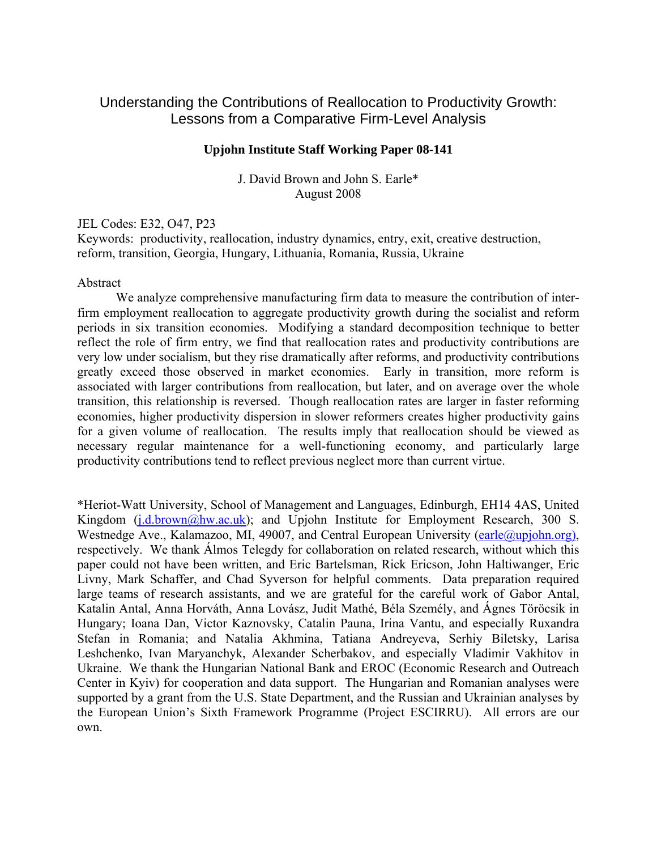# Understanding the Contributions of Reallocation to Productivity Growth: Lessons from a Comparative Firm-Level Analysis

### **Upjohn Institute Staff Working Paper 08-141**

J. David Brown and John S. Earle\* August 2008

#### JEL Codes: E32, O47, P23

Keywords: productivity, reallocation, industry dynamics, entry, exit, creative destruction, reform, transition, Georgia, Hungary, Lithuania, Romania, Russia, Ukraine

## Abstract

 We analyze comprehensive manufacturing firm data to measure the contribution of interfirm employment reallocation to aggregate productivity growth during the socialist and reform periods in six transition economies. Modifying a standard decomposition technique to better reflect the role of firm entry, we find that reallocation rates and productivity contributions are very low under socialism, but they rise dramatically after reforms, and productivity contributions greatly exceed those observed in market economies. Early in transition, more reform is associated with larger contributions from reallocation, but later, and on average over the whole transition, this relationship is reversed. Though reallocation rates are larger in faster reforming economies, higher productivity dispersion in slower reformers creates higher productivity gains for a given volume of reallocation. The results imply that reallocation should be viewed as necessary regular maintenance for a well-functioning economy, and particularly large productivity contributions tend to reflect previous neglect more than current virtue.

\*Heriot-Watt University, School of Management and Languages, Edinburgh, EH14 4AS, United Kingdom  $(i.d.brown@hwa.c.uk)$ ; and Upjohn Institute for Employment Research, 300 S. Westnedge Ave., Kalamazoo, MI, 49007, and Central European University (earle@upjohn.org), respectively. We thank Álmos Telegdy for collaboration on related research, without which this paper could not have been written, and Eric Bartelsman, Rick Ericson, John Haltiwanger, Eric Livny, Mark Schaffer, and Chad Syverson for helpful comments. Data preparation required large teams of research assistants, and we are grateful for the careful work of Gabor Antal, Katalin Antal, Anna Horváth, Anna Lovász, Judit Mathé, Béla Személy, and Ágnes Töröcsik in Hungary; Ioana Dan, Victor Kaznovsky, Catalin Pauna, Irina Vantu, and especially Ruxandra Stefan in Romania; and Natalia Akhmina, Tatiana Andreyeva, Serhiy Biletsky, Larisa Leshchenko, Ivan Maryanchyk, Alexander Scherbakov, and especially Vladimir Vakhitov in Ukraine. We thank the Hungarian National Bank and EROC (Economic Research and Outreach Center in Kyiv) for cooperation and data support. The Hungarian and Romanian analyses were supported by a grant from the U.S. State Department, and the Russian and Ukrainian analyses by the European Union's Sixth Framework Programme (Project ESCIRRU). All errors are our own.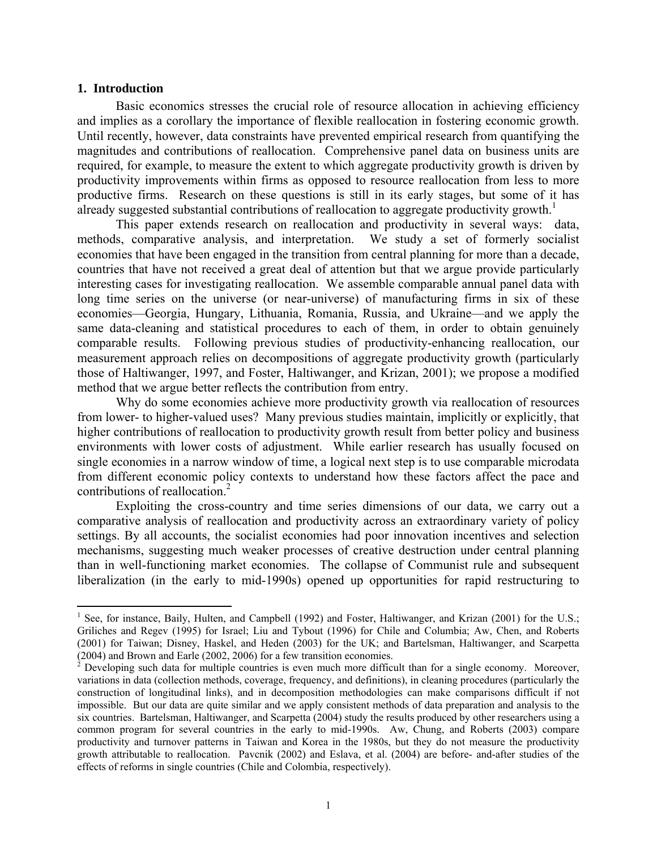#### **1. Introduction**

 $\overline{a}$ 

Basic economics stresses the crucial role of resource allocation in achieving efficiency and implies as a corollary the importance of flexible reallocation in fostering economic growth. Until recently, however, data constraints have prevented empirical research from quantifying the magnitudes and contributions of reallocation. Comprehensive panel data on business units are required, for example, to measure the extent to which aggregate productivity growth is driven by productivity improvements within firms as opposed to resource reallocation from less to more productive firms. Research on these questions is still in its early stages, but some of it has already suggested substantial contributions of reallocation to aggregate productivity growth.<sup>1</sup>

This paper extends research on reallocation and productivity in several ways: data, methods, comparative analysis, and interpretation. We study a set of formerly socialist economies that have been engaged in the transition from central planning for more than a decade, countries that have not received a great deal of attention but that we argue provide particularly interesting cases for investigating reallocation. We assemble comparable annual panel data with long time series on the universe (or near-universe) of manufacturing firms in six of these economies—Georgia, Hungary, Lithuania, Romania, Russia, and Ukraine—and we apply the same data-cleaning and statistical procedures to each of them, in order to obtain genuinely comparable results. Following previous studies of productivity-enhancing reallocation, our measurement approach relies on decompositions of aggregate productivity growth (particularly those of Haltiwanger, 1997, and Foster, Haltiwanger, and Krizan, 2001); we propose a modified method that we argue better reflects the contribution from entry.

Why do some economies achieve more productivity growth via reallocation of resources from lower- to higher-valued uses? Many previous studies maintain, implicitly or explicitly, that higher contributions of reallocation to productivity growth result from better policy and business environments with lower costs of adjustment. While earlier research has usually focused on single economies in a narrow window of time, a logical next step is to use comparable microdata from different economic policy contexts to understand how these factors affect the pace and contributions of reallocation.<sup>2</sup>

Exploiting the cross-country and time series dimensions of our data, we carry out a comparative analysis of reallocation and productivity across an extraordinary variety of policy settings. By all accounts, the socialist economies had poor innovation incentives and selection mechanisms, suggesting much weaker processes of creative destruction under central planning than in well-functioning market economies. The collapse of Communist rule and subsequent liberalization (in the early to mid-1990s) opened up opportunities for rapid restructuring to

<sup>&</sup>lt;sup>1</sup> See, for instance, Baily, Hulten, and Campbell (1992) and Foster, Haltiwanger, and Krizan (2001) for the U.S.; Griliches and Regev (1995) for Israel; Liu and Tybout (1996) for Chile and Columbia; Aw, Chen, and Roberts (2001) for Taiwan; Disney, Haskel, and Heden (2003) for the UK; and Bartelsman, Haltiwanger, and Scarpetta (2004) and Brown and Earle (2002, 2006) for a few transition economies.<br><sup>2</sup> Developing such data for multiple countries is even much more difficult than for a single economy. Moreover,

variations in data (collection methods, coverage, frequency, and definitions), in cleaning procedures (particularly the construction of longitudinal links), and in decomposition methodologies can make comparisons difficult if not impossible. But our data are quite similar and we apply consistent methods of data preparation and analysis to the six countries. Bartelsman, Haltiwanger, and Scarpetta (2004) study the results produced by other researchers using a common program for several countries in the early to mid-1990s. Aw, Chung, and Roberts (2003) compare productivity and turnover patterns in Taiwan and Korea in the 1980s, but they do not measure the productivity growth attributable to reallocation. Pavcnik (2002) and Eslava, et al. (2004) are before- and-after studies of the effects of reforms in single countries (Chile and Colombia, respectively).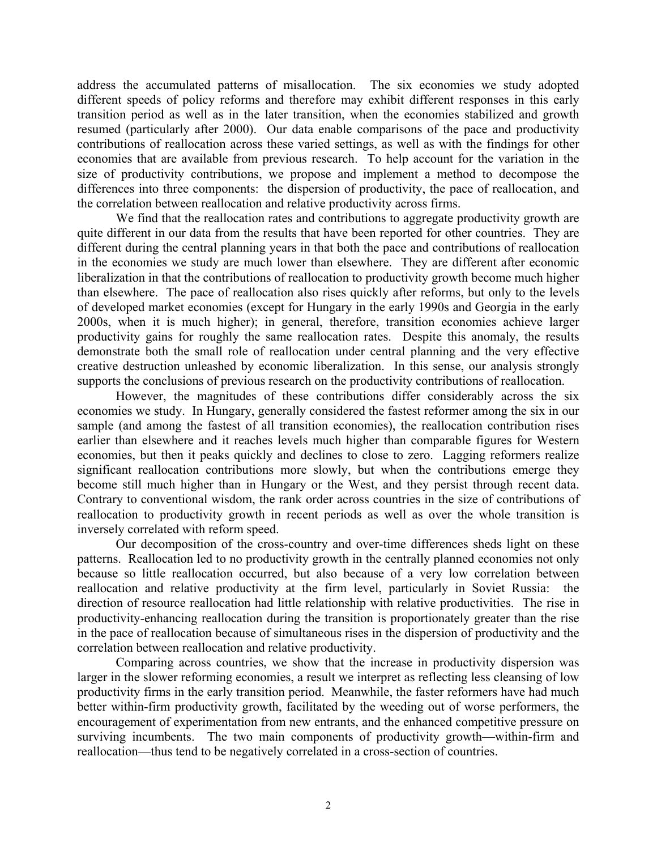address the accumulated patterns of misallocation. The six economies we study adopted different speeds of policy reforms and therefore may exhibit different responses in this early transition period as well as in the later transition, when the economies stabilized and growth resumed (particularly after 2000). Our data enable comparisons of the pace and productivity contributions of reallocation across these varied settings, as well as with the findings for other economies that are available from previous research. To help account for the variation in the size of productivity contributions, we propose and implement a method to decompose the differences into three components: the dispersion of productivity, the pace of reallocation, and the correlation between reallocation and relative productivity across firms.

We find that the reallocation rates and contributions to aggregate productivity growth are quite different in our data from the results that have been reported for other countries. They are different during the central planning years in that both the pace and contributions of reallocation in the economies we study are much lower than elsewhere. They are different after economic liberalization in that the contributions of reallocation to productivity growth become much higher than elsewhere. The pace of reallocation also rises quickly after reforms, but only to the levels of developed market economies (except for Hungary in the early 1990s and Georgia in the early 2000s, when it is much higher); in general, therefore, transition economies achieve larger productivity gains for roughly the same reallocation rates. Despite this anomaly, the results demonstrate both the small role of reallocation under central planning and the very effective creative destruction unleashed by economic liberalization. In this sense, our analysis strongly supports the conclusions of previous research on the productivity contributions of reallocation.

However, the magnitudes of these contributions differ considerably across the six economies we study. In Hungary, generally considered the fastest reformer among the six in our sample (and among the fastest of all transition economies), the reallocation contribution rises earlier than elsewhere and it reaches levels much higher than comparable figures for Western economies, but then it peaks quickly and declines to close to zero. Lagging reformers realize significant reallocation contributions more slowly, but when the contributions emerge they become still much higher than in Hungary or the West, and they persist through recent data. Contrary to conventional wisdom, the rank order across countries in the size of contributions of reallocation to productivity growth in recent periods as well as over the whole transition is inversely correlated with reform speed.

Our decomposition of the cross-country and over-time differences sheds light on these patterns. Reallocation led to no productivity growth in the centrally planned economies not only because so little reallocation occurred, but also because of a very low correlation between reallocation and relative productivity at the firm level, particularly in Soviet Russia: the direction of resource reallocation had little relationship with relative productivities. The rise in productivity-enhancing reallocation during the transition is proportionately greater than the rise in the pace of reallocation because of simultaneous rises in the dispersion of productivity and the correlation between reallocation and relative productivity.

Comparing across countries, we show that the increase in productivity dispersion was larger in the slower reforming economies, a result we interpret as reflecting less cleansing of low productivity firms in the early transition period. Meanwhile, the faster reformers have had much better within-firm productivity growth, facilitated by the weeding out of worse performers, the encouragement of experimentation from new entrants, and the enhanced competitive pressure on surviving incumbents. The two main components of productivity growth—within-firm and reallocation—thus tend to be negatively correlated in a cross-section of countries.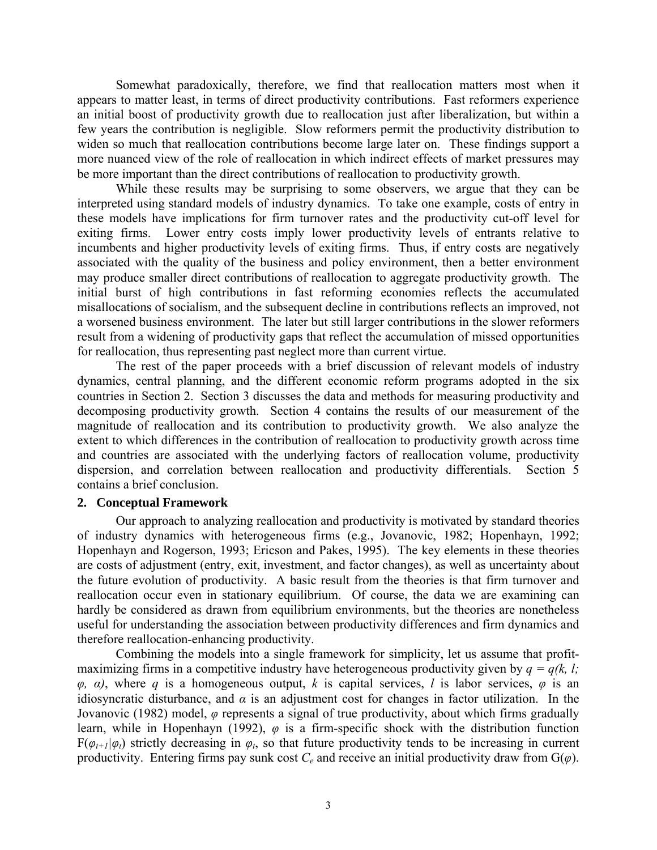Somewhat paradoxically, therefore, we find that reallocation matters most when it appears to matter least, in terms of direct productivity contributions. Fast reformers experience an initial boost of productivity growth due to reallocation just after liberalization, but within a few years the contribution is negligible. Slow reformers permit the productivity distribution to widen so much that reallocation contributions become large later on. These findings support a more nuanced view of the role of reallocation in which indirect effects of market pressures may be more important than the direct contributions of reallocation to productivity growth.

While these results may be surprising to some observers, we argue that they can be interpreted using standard models of industry dynamics. To take one example, costs of entry in these models have implications for firm turnover rates and the productivity cut-off level for exiting firms. Lower entry costs imply lower productivity levels of entrants relative to incumbents and higher productivity levels of exiting firms. Thus, if entry costs are negatively associated with the quality of the business and policy environment, then a better environment may produce smaller direct contributions of reallocation to aggregate productivity growth. The initial burst of high contributions in fast reforming economies reflects the accumulated misallocations of socialism, and the subsequent decline in contributions reflects an improved, not a worsened business environment. The later but still larger contributions in the slower reformers result from a widening of productivity gaps that reflect the accumulation of missed opportunities for reallocation, thus representing past neglect more than current virtue.

The rest of the paper proceeds with a brief discussion of relevant models of industry dynamics, central planning, and the different economic reform programs adopted in the six countries in Section 2. Section 3 discusses the data and methods for measuring productivity and decomposing productivity growth. Section 4 contains the results of our measurement of the magnitude of reallocation and its contribution to productivity growth. We also analyze the extent to which differences in the contribution of reallocation to productivity growth across time and countries are associated with the underlying factors of reallocation volume, productivity dispersion, and correlation between reallocation and productivity differentials. Section 5 contains a brief conclusion.

#### **2. Conceptual Framework**

Our approach to analyzing reallocation and productivity is motivated by standard theories of industry dynamics with heterogeneous firms (e.g., Jovanovic, 1982; Hopenhayn, 1992; Hopenhayn and Rogerson, 1993; Ericson and Pakes, 1995). The key elements in these theories are costs of adjustment (entry, exit, investment, and factor changes), as well as uncertainty about the future evolution of productivity. A basic result from the theories is that firm turnover and reallocation occur even in stationary equilibrium. Of course, the data we are examining can hardly be considered as drawn from equilibrium environments, but the theories are nonetheless useful for understanding the association between productivity differences and firm dynamics and therefore reallocation-enhancing productivity.

Combining the models into a single framework for simplicity, let us assume that profitmaximizing firms in a competitive industry have heterogeneous productivity given by  $q = q(k, l;$ *φ*, *α*), where *q* is a homogeneous output, *k* is capital services, *l* is labor services, *φ* is an idiosyncratic disturbance, and  $\alpha$  is an adjustment cost for changes in factor utilization. In the Jovanovic (1982) model, *φ* represents a signal of true productivity, about which firms gradually learn, while in Hopenhayn (1992), *φ* is a firm-specific shock with the distribution function  $F(\varphi_{t+1}|\varphi_t)$  strictly decreasing in  $\varphi_t$ , so that future productivity tends to be increasing in current productivity. Entering firms pay sunk cost  $C_e$  and receive an initial productivity draw from  $G(\varphi)$ .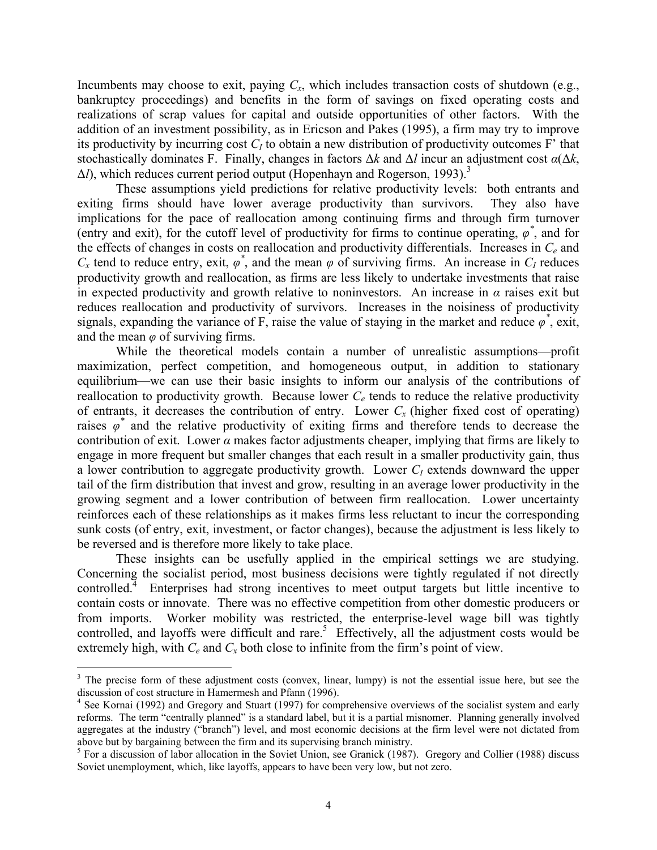Incumbents may choose to exit, paying  $C_x$ , which includes transaction costs of shutdown (e.g., bankruptcy proceedings) and benefits in the form of savings on fixed operating costs and realizations of scrap values for capital and outside opportunities of other factors. With the addition of an investment possibility, as in Ericson and Pakes (1995), a firm may try to improve its productivity by incurring cost  $C_I$  to obtain a new distribution of productivity outcomes  $F'$  that stochastically dominates F. Finally, changes in factors Δ*k* and Δ*l* incur an adjustment cost *α*(Δ*k*,  $\Delta l$ ), which reduces current period output (Hopenhayn and Rogerson, 1993).<sup>3</sup>

These assumptions yield predictions for relative productivity levels: both entrants and exiting firms should have lower average productivity than survivors. They also have implications for the pace of reallocation among continuing firms and through firm turnover (entry and exit), for the cutoff level of productivity for firms to continue operating,  $\varphi^*$ , and for the effects of changes in costs on reallocation and productivity differentials. Increases in *Ce* and  $C_x$  tend to reduce entry, exit,  $\varphi^*$ , and the mean  $\varphi$  of surviving firms. An increase in  $C_I$  reduces productivity growth and reallocation, as firms are less likely to undertake investments that raise in expected productivity and growth relative to noninvestors. An increase in  $\alpha$  raises exit but reduces reallocation and productivity of survivors. Increases in the noisiness of productivity signals, expanding the variance of F, raise the value of staying in the market and reduce  $\varphi^*$ , exit, and the mean  $\varphi$  of surviving firms.

While the theoretical models contain a number of unrealistic assumptions—profit maximization, perfect competition, and homogeneous output, in addition to stationary equilibrium—we can use their basic insights to inform our analysis of the contributions of reallocation to productivity growth. Because lower  $C_e$  tends to reduce the relative productivity of entrants, it decreases the contribution of entry. Lower  $C_x$  (higher fixed cost of operating) raises  $\varphi^*$  and the relative productivity of exiting firms and therefore tends to decrease the contribution of exit. Lower *α* makes factor adjustments cheaper, implying that firms are likely to engage in more frequent but smaller changes that each result in a smaller productivity gain, thus a lower contribution to aggregate productivity growth. Lower *CI* extends downward the upper tail of the firm distribution that invest and grow, resulting in an average lower productivity in the growing segment and a lower contribution of between firm reallocation. Lower uncertainty reinforces each of these relationships as it makes firms less reluctant to incur the corresponding sunk costs (of entry, exit, investment, or factor changes), because the adjustment is less likely to be reversed and is therefore more likely to take place.

These insights can be usefully applied in the empirical settings we are studying. Concerning the socialist period, most business decisions were tightly regulated if not directly controlled.<sup>4</sup> Enterprises had strong incentives to meet output targets but little incentive to contain costs or innovate. There was no effective competition from other domestic producers or from imports. Worker mobility was restricted, the enterprise-level wage bill was tightly controlled, and layoffs were difficult and rare.<sup>5</sup> Effectively, all the adjustment costs would be extremely high, with  $C_e$  and  $C_x$  both close to infinite from the firm's point of view.

1

 $3$  The precise form of these adjustment costs (convex, linear, lumpy) is not the essential issue here, but see the discussion of cost structure in Hamermesh and Pfann (1996).

<sup>&</sup>lt;sup>4</sup> See Kornai (1992) and Gregory and Stuart (1997) for comprehensive overviews of the socialist system and early reforms. The term "centrally planned" is a standard label, but it is a partial misnomer. Planning generally involved aggregates at the industry ("branch") level, and most economic decisions at the firm level were not dictated from above but by bargaining between the firm and its supervising branch ministry.

<sup>&</sup>lt;sup>5</sup> For a discussion of labor allocation in the Soviet Union, see Granick (1987). Gregory and Collier (1988) discuss Soviet unemployment, which, like layoffs, appears to have been very low, but not zero.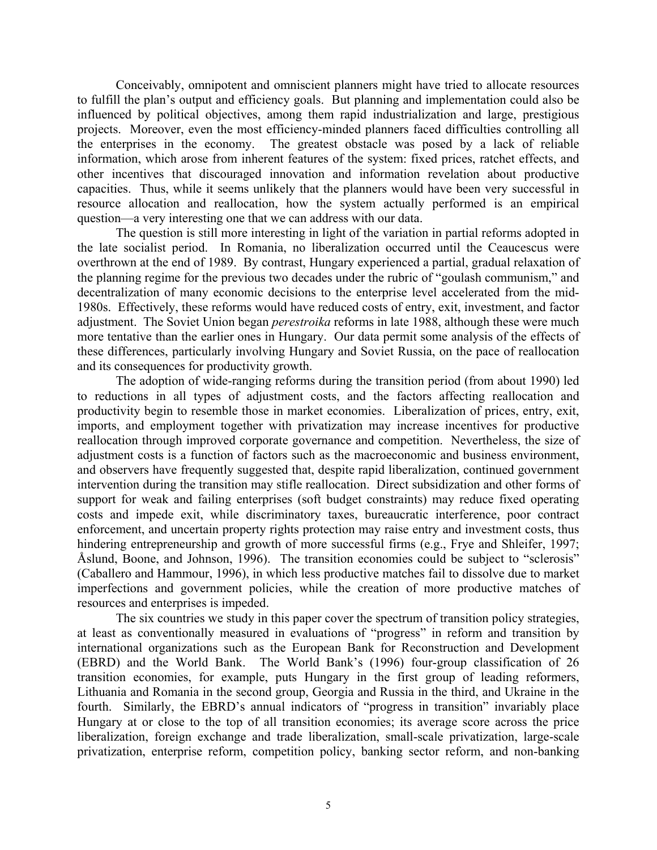Conceivably, omnipotent and omniscient planners might have tried to allocate resources to fulfill the plan's output and efficiency goals. But planning and implementation could also be influenced by political objectives, among them rapid industrialization and large, prestigious projects. Moreover, even the most efficiency-minded planners faced difficulties controlling all the enterprises in the economy. The greatest obstacle was posed by a lack of reliable information, which arose from inherent features of the system: fixed prices, ratchet effects, and other incentives that discouraged innovation and information revelation about productive capacities. Thus, while it seems unlikely that the planners would have been very successful in resource allocation and reallocation, how the system actually performed is an empirical question—a very interesting one that we can address with our data.

The question is still more interesting in light of the variation in partial reforms adopted in the late socialist period. In Romania, no liberalization occurred until the Ceaucescus were overthrown at the end of 1989. By contrast, Hungary experienced a partial, gradual relaxation of the planning regime for the previous two decades under the rubric of "goulash communism," and decentralization of many economic decisions to the enterprise level accelerated from the mid-1980s. Effectively, these reforms would have reduced costs of entry, exit, investment, and factor adjustment. The Soviet Union began *perestroika* reforms in late 1988, although these were much more tentative than the earlier ones in Hungary. Our data permit some analysis of the effects of these differences, particularly involving Hungary and Soviet Russia, on the pace of reallocation and its consequences for productivity growth.

The adoption of wide-ranging reforms during the transition period (from about 1990) led to reductions in all types of adjustment costs, and the factors affecting reallocation and productivity begin to resemble those in market economies. Liberalization of prices, entry, exit, imports, and employment together with privatization may increase incentives for productive reallocation through improved corporate governance and competition. Nevertheless, the size of adjustment costs is a function of factors such as the macroeconomic and business environment, and observers have frequently suggested that, despite rapid liberalization, continued government intervention during the transition may stifle reallocation. Direct subsidization and other forms of support for weak and failing enterprises (soft budget constraints) may reduce fixed operating costs and impede exit, while discriminatory taxes, bureaucratic interference, poor contract enforcement, and uncertain property rights protection may raise entry and investment costs, thus hindering entrepreneurship and growth of more successful firms (e.g., Frye and Shleifer, 1997; Åslund, Boone, and Johnson, 1996). The transition economies could be subject to "sclerosis" (Caballero and Hammour, 1996), in which less productive matches fail to dissolve due to market imperfections and government policies, while the creation of more productive matches of resources and enterprises is impeded.

The six countries we study in this paper cover the spectrum of transition policy strategies, at least as conventionally measured in evaluations of "progress" in reform and transition by international organizations such as the European Bank for Reconstruction and Development (EBRD) and the World Bank. The World Bank's (1996) four-group classification of 26 transition economies, for example, puts Hungary in the first group of leading reformers, Lithuania and Romania in the second group, Georgia and Russia in the third, and Ukraine in the fourth. Similarly, the EBRD's annual indicators of "progress in transition" invariably place Hungary at or close to the top of all transition economies; its average score across the price liberalization, foreign exchange and trade liberalization, small-scale privatization, large-scale privatization, enterprise reform, competition policy, banking sector reform, and non-banking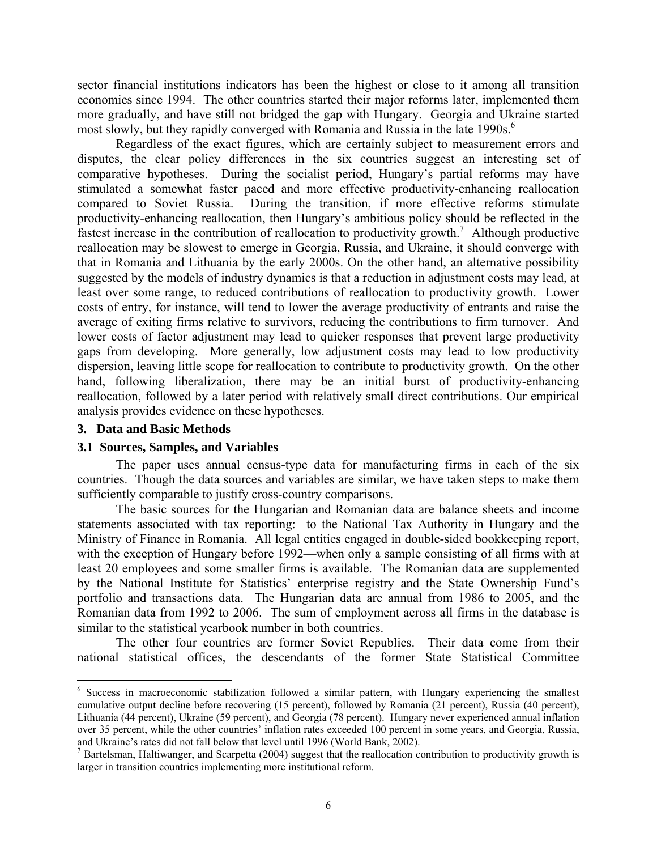sector financial institutions indicators has been the highest or close to it among all transition economies since 1994. The other countries started their major reforms later, implemented them more gradually, and have still not bridged the gap with Hungary. Georgia and Ukraine started most slowly, but they rapidly converged with Romania and Russia in the late 1990s.<sup>6</sup>

Regardless of the exact figures, which are certainly subject to measurement errors and disputes, the clear policy differences in the six countries suggest an interesting set of comparative hypotheses. During the socialist period, Hungary's partial reforms may have stimulated a somewhat faster paced and more effective productivity-enhancing reallocation compared to Soviet Russia. During the transition, if more effective reforms stimulate productivity-enhancing reallocation, then Hungary's ambitious policy should be reflected in the fastest increase in the contribution of reallocation to productivity growth.<sup>7</sup> Although productive reallocation may be slowest to emerge in Georgia, Russia, and Ukraine, it should converge with that in Romania and Lithuania by the early 2000s. On the other hand, an alternative possibility suggested by the models of industry dynamics is that a reduction in adjustment costs may lead, at least over some range, to reduced contributions of reallocation to productivity growth. Lower costs of entry, for instance, will tend to lower the average productivity of entrants and raise the average of exiting firms relative to survivors, reducing the contributions to firm turnover. And lower costs of factor adjustment may lead to quicker responses that prevent large productivity gaps from developing. More generally, low adjustment costs may lead to low productivity dispersion, leaving little scope for reallocation to contribute to productivity growth. On the other hand, following liberalization, there may be an initial burst of productivity-enhancing reallocation, followed by a later period with relatively small direct contributions. Our empirical analysis provides evidence on these hypotheses.

#### **3. Data and Basic Methods**

<u>.</u>

#### **3.1 Sources, Samples, and Variables**

The paper uses annual census-type data for manufacturing firms in each of the six countries. Though the data sources and variables are similar, we have taken steps to make them sufficiently comparable to justify cross-country comparisons.

The basic sources for the Hungarian and Romanian data are balance sheets and income statements associated with tax reporting: to the National Tax Authority in Hungary and the Ministry of Finance in Romania. All legal entities engaged in double-sided bookkeeping report, with the exception of Hungary before 1992—when only a sample consisting of all firms with at least 20 employees and some smaller firms is available. The Romanian data are supplemented by the National Institute for Statistics' enterprise registry and the State Ownership Fund's portfolio and transactions data. The Hungarian data are annual from 1986 to 2005, and the Romanian data from 1992 to 2006. The sum of employment across all firms in the database is similar to the statistical yearbook number in both countries.

The other four countries are former Soviet Republics. Their data come from their national statistical offices, the descendants of the former State Statistical Committee

<sup>&</sup>lt;sup>6</sup> Success in macroeconomic stabilization followed a similar pattern, with Hungary experiencing the smallest cumulative output decline before recovering (15 percent), followed by Romania (21 percent), Russia (40 percent), Lithuania (44 percent), Ukraine (59 percent), and Georgia (78 percent). Hungary never experienced annual inflation over 35 percent, while the other countries' inflation rates exceeded 100 percent in some years, and Georgia, Russia, and Ukraine's rates did not fall below that level until 1996 (World Bank, 2002).

 $<sup>7</sup>$  Bartelsman, Haltiwanger, and Scarpetta (2004) suggest that the reallocation contribution to productivity growth is</sup> larger in transition countries implementing more institutional reform.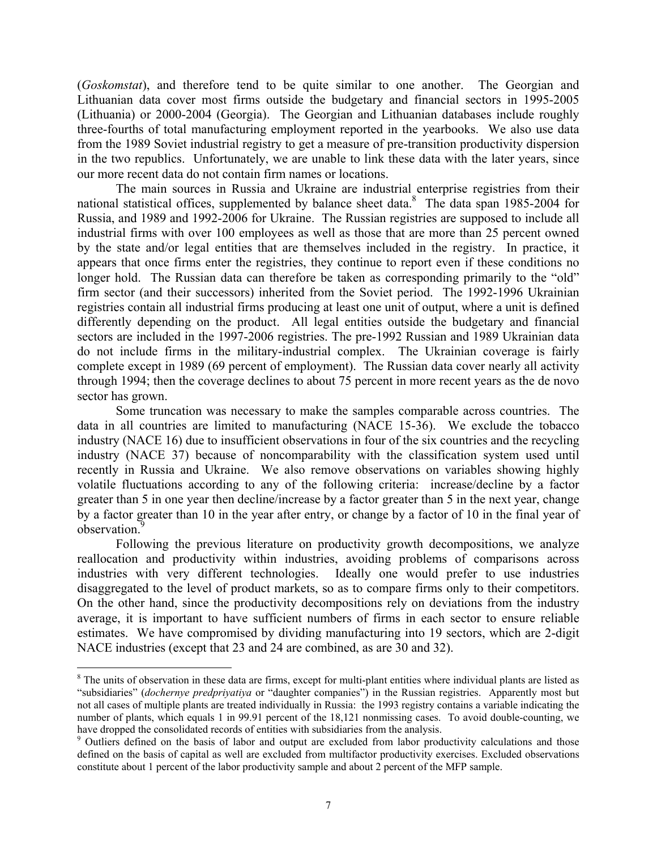(*Goskomstat*), and therefore tend to be quite similar to one another. The Georgian and Lithuanian data cover most firms outside the budgetary and financial sectors in 1995-2005 (Lithuania) or 2000-2004 (Georgia). The Georgian and Lithuanian databases include roughly three-fourths of total manufacturing employment reported in the yearbooks. We also use data from the 1989 Soviet industrial registry to get a measure of pre-transition productivity dispersion in the two republics. Unfortunately, we are unable to link these data with the later years, since our more recent data do not contain firm names or locations.

The main sources in Russia and Ukraine are industrial enterprise registries from their national statistical offices, supplemented by balance sheet data.<sup>8</sup> The data span 1985-2004 for Russia, and 1989 and 1992-2006 for Ukraine. The Russian registries are supposed to include all industrial firms with over 100 employees as well as those that are more than 25 percent owned by the state and/or legal entities that are themselves included in the registry. In practice, it appears that once firms enter the registries, they continue to report even if these conditions no longer hold. The Russian data can therefore be taken as corresponding primarily to the "old" firm sector (and their successors) inherited from the Soviet period. The 1992-1996 Ukrainian registries contain all industrial firms producing at least one unit of output, where a unit is defined differently depending on the product. All legal entities outside the budgetary and financial sectors are included in the 1997-2006 registries. The pre-1992 Russian and 1989 Ukrainian data do not include firms in the military-industrial complex. The Ukrainian coverage is fairly complete except in 1989 (69 percent of employment). The Russian data cover nearly all activity through 1994; then the coverage declines to about 75 percent in more recent years as the de novo sector has grown.

Some truncation was necessary to make the samples comparable across countries. The data in all countries are limited to manufacturing (NACE 15-36). We exclude the tobacco industry (NACE 16) due to insufficient observations in four of the six countries and the recycling industry (NACE 37) because of noncomparability with the classification system used until recently in Russia and Ukraine. We also remove observations on variables showing highly volatile fluctuations according to any of the following criteria: increase/decline by a factor greater than 5 in one year then decline/increase by a factor greater than 5 in the next year, change by a factor greater than 10 in the year after entry, or change by a factor of 10 in the final year of observation.<sup>9</sup>

Following the previous literature on productivity growth decompositions, we analyze reallocation and productivity within industries, avoiding problems of comparisons across industries with very different technologies. Ideally one would prefer to use industries disaggregated to the level of product markets, so as to compare firms only to their competitors. On the other hand, since the productivity decompositions rely on deviations from the industry average, it is important to have sufficient numbers of firms in each sector to ensure reliable estimates. We have compromised by dividing manufacturing into 19 sectors, which are 2-digit NACE industries (except that 23 and 24 are combined, as are 30 and 32).

 $\overline{a}$ 

<sup>&</sup>lt;sup>8</sup> The units of observation in these data are firms, except for multi-plant entities where individual plants are listed as "subsidiaries" (*dochernye predpriyatiya* or "daughter companies") in the Russian registries. Apparently most but not all cases of multiple plants are treated individually in Russia: the 1993 registry contains a variable indicating the number of plants, which equals 1 in 99.91 percent of the 18,121 nonmissing cases. To avoid double-counting, we have dropped the consolidated records of entities with subsidiaries from the analysis.

<sup>&</sup>lt;sup>9</sup> Outliers defined on the basis of labor and output are excluded from labor productivity calculations and those defined on the basis of capital as well are excluded from multifactor productivity exercises. Excluded observations constitute about 1 percent of the labor productivity sample and about 2 percent of the MFP sample.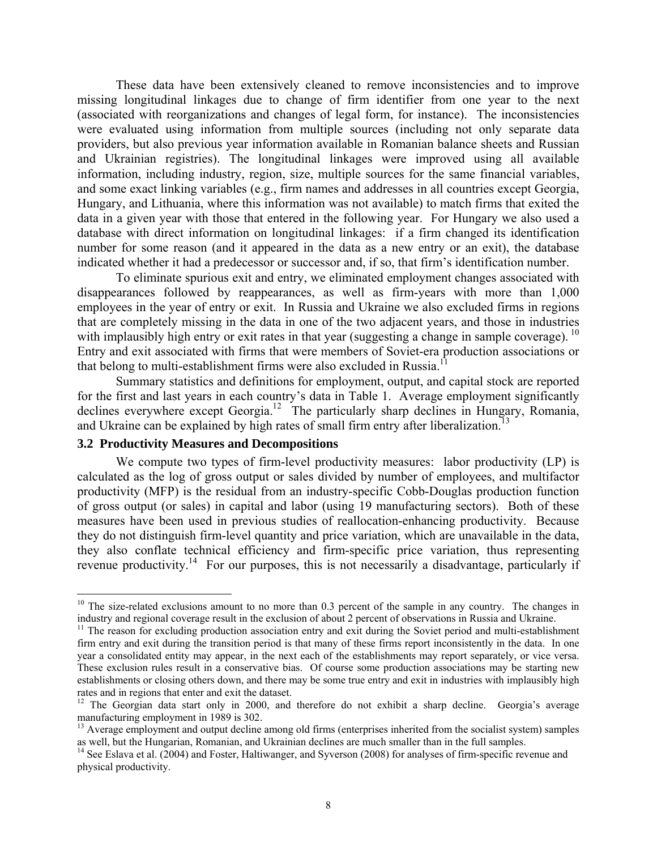These data have been extensively cleaned to remove inconsistencies and to improve missing longitudinal linkages due to change of firm identifier from one year to the next (associated with reorganizations and changes of legal form, for instance). The inconsistencies were evaluated using information from multiple sources (including not only separate data providers, but also previous year information available in Romanian balance sheets and Russian and Ukrainian registries). The longitudinal linkages were improved using all available information, including industry, region, size, multiple sources for the same financial variables, and some exact linking variables (e.g., firm names and addresses in all countries except Georgia, Hungary, and Lithuania, where this information was not available) to match firms that exited the data in a given year with those that entered in the following year. For Hungary we also used a database with direct information on longitudinal linkages: if a firm changed its identification number for some reason (and it appeared in the data as a new entry or an exit), the database indicated whether it had a predecessor or successor and, if so, that firm's identification number.

To eliminate spurious exit and entry, we eliminated employment changes associated with disappearances followed by reappearances, as well as firm-years with more than 1,000 employees in the year of entry or exit. In Russia and Ukraine we also excluded firms in regions that are completely missing in the data in one of the two adjacent years, and those in industries with implausibly high entry or exit rates in that year (suggesting a change in sample coverage). <sup>10</sup> Entry and exit associated with firms that were members of Soviet-era production associations or that belong to multi-establishment firms were also excluded in Russia.<sup>11</sup>

Summary statistics and definitions for employment, output, and capital stock are reported for the first and last years in each country's data in Table 1. Average employment significantly declines everywhere except Georgia.<sup>12</sup> The particularly sharp declines in Hungary, Romania, and Ukraine can be explained by high rates of small firm entry after liberalization.<sup>13</sup>

## **3.2 Productivity Measures and Decompositions**

 $\overline{a}$ 

We compute two types of firm-level productivity measures: labor productivity (LP) is calculated as the log of gross output or sales divided by number of employees, and multifactor productivity (MFP) is the residual from an industry-specific Cobb-Douglas production function of gross output (or sales) in capital and labor (using 19 manufacturing sectors). Both of these measures have been used in previous studies of reallocation-enhancing productivity. Because they do not distinguish firm-level quantity and price variation, which are unavailable in the data, they also conflate technical efficiency and firm-specific price variation, thus representing revenue productivity.<sup>14</sup> For our purposes, this is not necessarily a disadvantage, particularly if

<sup>&</sup>lt;sup>10</sup> The size-related exclusions amount to no more than 0.3 percent of the sample in any country. The changes in industry and regional coverage result in the exclusion of about 2 percent of observations in Russia and Ukraine.

<sup>&</sup>lt;sup>11</sup> The reason for excluding production association entry and exit during the Soviet period and multi-establishment firm entry and exit during the transition period is that many of these firms report inconsistently in the data. In one year a consolidated entity may appear, in the next each of the establishments may report separately, or vice versa. These exclusion rules result in a conservative bias. Of course some production associations may be starting new establishments or closing others down, and there may be some true entry and exit in industries with implausibly high rates and in regions that enter and exit the dataset.

<sup>&</sup>lt;sup>12</sup> The Georgian data start only in 2000, and therefore do not exhibit a sharp decline. Georgia's average manufacturing employment in 1989 is 302.

<sup>&</sup>lt;sup>13</sup> Average employment and output decline among old firms (enterprises inherited from the socialist system) samples as well, but the Hungarian, Romanian, and Ukrainian declines are much smaller than in the full samples.

 $a<sup>14</sup>$  See Eslava et al. (2004) and Foster, Haltiwanger, and Syverson (2008) for analyses of firm-specific revenue and physical productivity.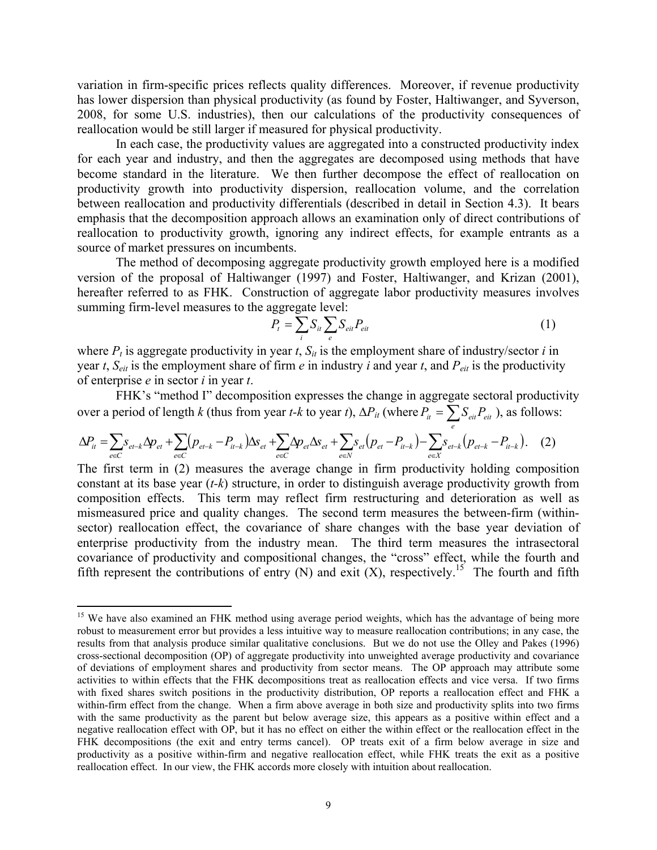variation in firm-specific prices reflects quality differences. Moreover, if revenue productivity has lower dispersion than physical productivity (as found by Foster, Haltiwanger, and Syverson, 2008, for some U.S. industries), then our calculations of the productivity consequences of reallocation would be still larger if measured for physical productivity.

In each case, the productivity values are aggregated into a constructed productivity index for each year and industry, and then the aggregates are decomposed using methods that have become standard in the literature. We then further decompose the effect of reallocation on productivity growth into productivity dispersion, reallocation volume, and the correlation between reallocation and productivity differentials (described in detail in Section 4.3). It bears emphasis that the decomposition approach allows an examination only of direct contributions of reallocation to productivity growth, ignoring any indirect effects, for example entrants as a source of market pressures on incumbents.

The method of decomposing aggregate productivity growth employed here is a modified version of the proposal of Haltiwanger (1997) and Foster, Haltiwanger, and Krizan (2001), hereafter referred to as FHK. Construction of aggregate labor productivity measures involves summing firm-level measures to the aggregate level:

$$
P_t = \sum_i S_{it} \sum_e S_{ei} P_{ei} \tag{1}
$$

where  $P_t$  is aggregate productivity in year  $t$ ,  $S_{it}$  is the employment share of industry/sector  $i$  in year *t*,  $S_{eit}$  is the employment share of firm *e* in industry *i* and year *t*, and  $P_{eit}$  is the productivity of enterprise *e* in sector *i* in year *t*.

FHK's "method I" decomposition expresses the change in aggregate sectoral productivity over a period of length *k* (thus from year *t-k* to year *t*),  $\Delta P_{it}$  (where  $P_{it} = \sum_{e} S_{eit} P_{eit}$ ), as follows:

$$
\Delta P_{it} = \sum_{e \in C} s_{et-k} \Delta p_{et} + \sum_{e \in C} (p_{et-k} - P_{it-k}) \Delta s_{et} + \sum_{e \in C} \Delta p_{et} \Delta s_{et} + \sum_{e \in N} s_{et} (p_{et} - P_{it-k}) - \sum_{e \in X} s_{et-k} (p_{et-k} - P_{it-k}).
$$
 (2)

The first term in (2) measures the average change in firm productivity holding composition constant at its base year (*t-k*) structure, in order to distinguish average productivity growth from composition effects. This term may reflect firm restructuring and deterioration as well as mismeasured price and quality changes. The second term measures the between-firm (withinsector) reallocation effect, the covariance of share changes with the base year deviation of enterprise productivity from the industry mean. The third term measures the intrasectoral covariance of productivity and compositional changes, the "cross" effect, while the fourth and fifth represent the contributions of entry  $(N)$  and exit  $(X)$ , respectively.<sup>15</sup> The fourth and fifth

 $\overline{a}$ 

<sup>&</sup>lt;sup>15</sup> We have also examined an FHK method using average period weights, which has the advantage of being more robust to measurement error but provides a less intuitive way to measure reallocation contributions; in any case, the results from that analysis produce similar qualitative conclusions. But we do not use the Olley and Pakes (1996) cross-sectional decomposition (OP) of aggregate productivity into unweighted average productivity and covariance of deviations of employment shares and productivity from sector means. The OP approach may attribute some activities to within effects that the FHK decompositions treat as reallocation effects and vice versa. If two firms with fixed shares switch positions in the productivity distribution, OP reports a reallocation effect and FHK a within-firm effect from the change. When a firm above average in both size and productivity splits into two firms with the same productivity as the parent but below average size, this appears as a positive within effect and a negative reallocation effect with OP, but it has no effect on either the within effect or the reallocation effect in the FHK decompositions (the exit and entry terms cancel). OP treats exit of a firm below average in size and productivity as a positive within-firm and negative reallocation effect, while FHK treats the exit as a positive reallocation effect. In our view, the FHK accords more closely with intuition about reallocation.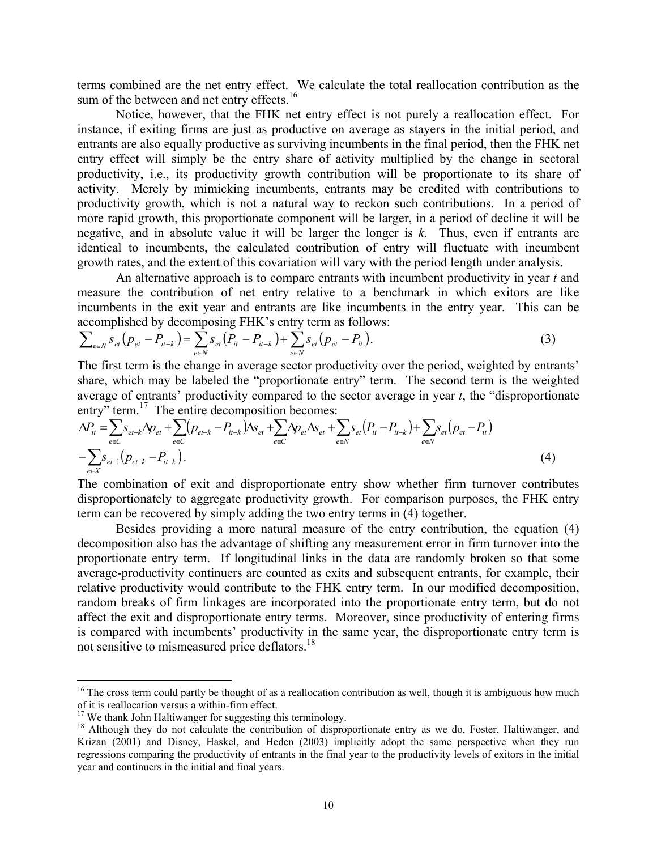terms combined are the net entry effect. We calculate the total reallocation contribution as the sum of the between and net entry effects.<sup>16</sup>

 Notice, however, that the FHK net entry effect is not purely a reallocation effect. For instance, if exiting firms are just as productive on average as stayers in the initial period, and entrants are also equally productive as surviving incumbents in the final period, then the FHK net entry effect will simply be the entry share of activity multiplied by the change in sectoral productivity, i.e., its productivity growth contribution will be proportionate to its share of activity. Merely by mimicking incumbents, entrants may be credited with contributions to productivity growth, which is not a natural way to reckon such contributions. In a period of more rapid growth, this proportionate component will be larger, in a period of decline it will be negative, and in absolute value it will be larger the longer is *k*. Thus, even if entrants are identical to incumbents, the calculated contribution of entry will fluctuate with incumbent growth rates, and the extent of this covariation will vary with the period length under analysis.

An alternative approach is to compare entrants with incumbent productivity in year *t* and measure the contribution of net entry relative to a benchmark in which exitors are like incumbents in the exit year and entrants are like incumbents in the entry year. This can be accomplished by decomposing FHK's entry term as follows:

$$
\sum_{e \in N} s_{et} (p_{et} - P_{it-k}) = \sum_{e \in N} s_{et} (P_{it} - P_{it-k}) + \sum_{e \in N} s_{et} (p_{et} - P_{it}). \tag{3}
$$

The first term is the change in average sector productivity over the period, weighted by entrants' share, which may be labeled the "proportionate entry" term. The second term is the weighted average of entrants' productivity compared to the sector average in year *t*, the "disproportionate entry" term.<sup>17</sup> The entire decomposition becomes:

$$
\Delta P_{it} = \sum_{e \in C} S_{et-k} \Delta p_{et} + \sum_{e \in C} (p_{et-k} - P_{it-k}) \Delta s_{et} + \sum_{e \in C} \Delta p_{et} \Delta s_{et} + \sum_{e \in N} S_{et} (P_{it} - P_{it-k}) + \sum_{e \in N} S_{et} (p_{et} - P_{it})
$$
  

$$
- \sum_{e \in X} S_{et-1} (p_{et-k} - P_{it-k}).
$$
\n(4)

The combination of exit and disproportionate entry show whether firm turnover contributes disproportionately to aggregate productivity growth. For comparison purposes, the FHK entry term can be recovered by simply adding the two entry terms in (4) together.

 Besides providing a more natural measure of the entry contribution, the equation (4) decomposition also has the advantage of shifting any measurement error in firm turnover into the proportionate entry term. If longitudinal links in the data are randomly broken so that some average-productivity continuers are counted as exits and subsequent entrants, for example, their relative productivity would contribute to the FHK entry term. In our modified decomposition, random breaks of firm linkages are incorporated into the proportionate entry term, but do not affect the exit and disproportionate entry terms. Moreover, since productivity of entering firms is compared with incumbents' productivity in the same year, the disproportionate entry term is not sensitive to mismeasured price deflators.<sup>18</sup>

 $\overline{a}$ 

 $16$  The cross term could partly be thought of as a reallocation contribution as well, though it is ambiguous how much of it is reallocation versus a within-firm effect.

 $17$  We thank John Haltiwanger for suggesting this terminology.

<sup>&</sup>lt;sup>18</sup> Although they do not calculate the contribution of disproportionate entry as we do, Foster, Haltiwanger, and Krizan (2001) and Disney, Haskel, and Heden (2003) implicitly adopt the same perspective when they run regressions comparing the productivity of entrants in the final year to the productivity levels of exitors in the initial year and continuers in the initial and final years.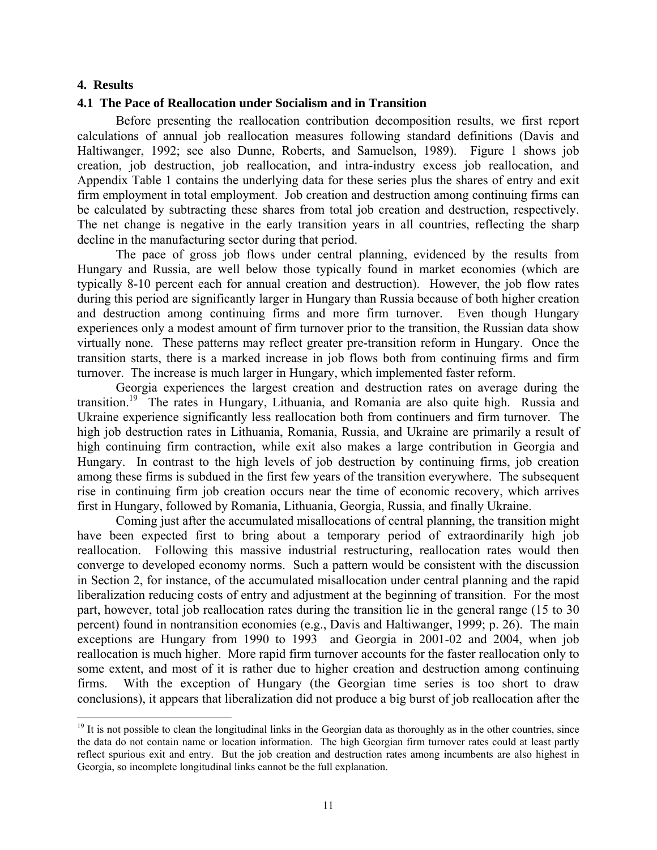#### **4. Results**

 $\overline{a}$ 

#### **4.1 The Pace of Reallocation under Socialism and in Transition**

Before presenting the reallocation contribution decomposition results, we first report calculations of annual job reallocation measures following standard definitions (Davis and Haltiwanger, 1992; see also Dunne, Roberts, and Samuelson, 1989). Figure 1 shows job creation, job destruction, job reallocation, and intra-industry excess job reallocation, and Appendix Table 1 contains the underlying data for these series plus the shares of entry and exit firm employment in total employment. Job creation and destruction among continuing firms can be calculated by subtracting these shares from total job creation and destruction, respectively. The net change is negative in the early transition years in all countries, reflecting the sharp decline in the manufacturing sector during that period.

The pace of gross job flows under central planning, evidenced by the results from Hungary and Russia, are well below those typically found in market economies (which are typically 8-10 percent each for annual creation and destruction). However, the job flow rates during this period are significantly larger in Hungary than Russia because of both higher creation and destruction among continuing firms and more firm turnover. Even though Hungary experiences only a modest amount of firm turnover prior to the transition, the Russian data show virtually none. These patterns may reflect greater pre-transition reform in Hungary. Once the transition starts, there is a marked increase in job flows both from continuing firms and firm turnover. The increase is much larger in Hungary, which implemented faster reform.

Georgia experiences the largest creation and destruction rates on average during the transition.19 The rates in Hungary, Lithuania, and Romania are also quite high. Russia and Ukraine experience significantly less reallocation both from continuers and firm turnover. The high job destruction rates in Lithuania, Romania, Russia, and Ukraine are primarily a result of high continuing firm contraction, while exit also makes a large contribution in Georgia and Hungary. In contrast to the high levels of job destruction by continuing firms, job creation among these firms is subdued in the first few years of the transition everywhere. The subsequent rise in continuing firm job creation occurs near the time of economic recovery, which arrives first in Hungary, followed by Romania, Lithuania, Georgia, Russia, and finally Ukraine.

Coming just after the accumulated misallocations of central planning, the transition might have been expected first to bring about a temporary period of extraordinarily high job reallocation. Following this massive industrial restructuring, reallocation rates would then converge to developed economy norms. Such a pattern would be consistent with the discussion in Section 2, for instance, of the accumulated misallocation under central planning and the rapid liberalization reducing costs of entry and adjustment at the beginning of transition. For the most part, however, total job reallocation rates during the transition lie in the general range (15 to 30 percent) found in nontransition economies (e.g., Davis and Haltiwanger, 1999; p. 26). The main exceptions are Hungary from 1990 to 1993 and Georgia in 2001-02 and 2004, when job reallocation is much higher. More rapid firm turnover accounts for the faster reallocation only to some extent, and most of it is rather due to higher creation and destruction among continuing firms. With the exception of Hungary (the Georgian time series is too short to draw conclusions), it appears that liberalization did not produce a big burst of job reallocation after the

 $19$  It is not possible to clean the longitudinal links in the Georgian data as thoroughly as in the other countries, since the data do not contain name or location information. The high Georgian firm turnover rates could at least partly reflect spurious exit and entry. But the job creation and destruction rates among incumbents are also highest in Georgia, so incomplete longitudinal links cannot be the full explanation.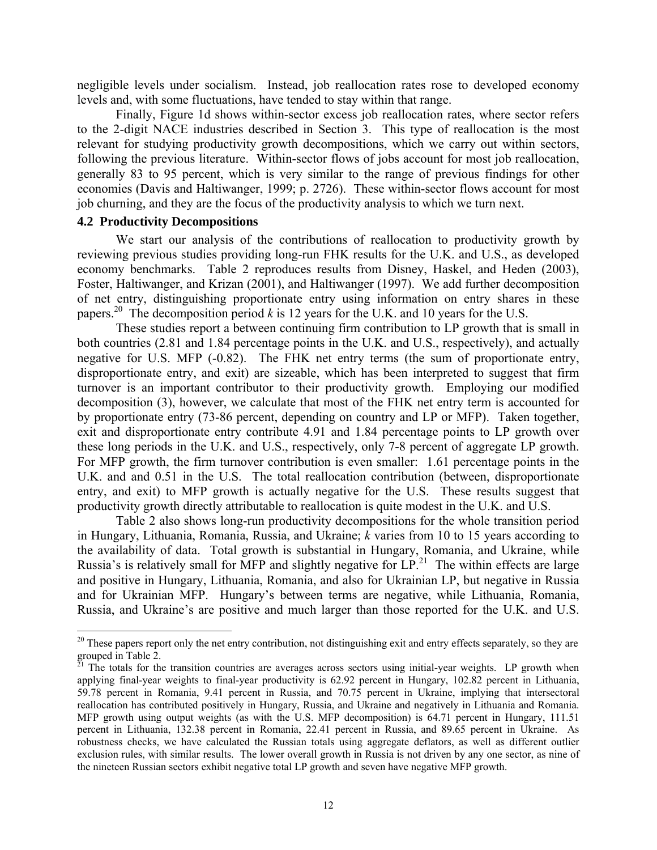negligible levels under socialism. Instead, job reallocation rates rose to developed economy levels and, with some fluctuations, have tended to stay within that range.

Finally, Figure 1d shows within-sector excess job reallocation rates, where sector refers to the 2-digit NACE industries described in Section 3. This type of reallocation is the most relevant for studying productivity growth decompositions, which we carry out within sectors, following the previous literature. Within-sector flows of jobs account for most job reallocation, generally 83 to 95 percent, which is very similar to the range of previous findings for other economies (Davis and Haltiwanger, 1999; p. 2726). These within-sector flows account for most job churning, and they are the focus of the productivity analysis to which we turn next.

## **4.2 Productivity Decompositions**

 $\overline{a}$ 

We start our analysis of the contributions of reallocation to productivity growth by reviewing previous studies providing long-run FHK results for the U.K. and U.S., as developed economy benchmarks. Table 2 reproduces results from Disney, Haskel, and Heden (2003), Foster, Haltiwanger, and Krizan (2001), and Haltiwanger (1997). We add further decomposition of net entry, distinguishing proportionate entry using information on entry shares in these papers.<sup>20</sup> The decomposition period  $k$  is 12 years for the U.K. and 10 years for the U.S.

These studies report a between continuing firm contribution to LP growth that is small in both countries (2.81 and 1.84 percentage points in the U.K. and U.S., respectively), and actually negative for U.S. MFP (-0.82). The FHK net entry terms (the sum of proportionate entry, disproportionate entry, and exit) are sizeable, which has been interpreted to suggest that firm turnover is an important contributor to their productivity growth. Employing our modified decomposition (3), however, we calculate that most of the FHK net entry term is accounted for by proportionate entry (73-86 percent, depending on country and LP or MFP). Taken together, exit and disproportionate entry contribute 4.91 and 1.84 percentage points to LP growth over these long periods in the U.K. and U.S., respectively, only 7-8 percent of aggregate LP growth. For MFP growth, the firm turnover contribution is even smaller: 1.61 percentage points in the U.K. and and 0.51 in the U.S. The total reallocation contribution (between, disproportionate entry, and exit) to MFP growth is actually negative for the U.S. These results suggest that productivity growth directly attributable to reallocation is quite modest in the U.K. and U.S.

Table 2 also shows long-run productivity decompositions for the whole transition period in Hungary, Lithuania, Romania, Russia, and Ukraine; *k* varies from 10 to 15 years according to the availability of data. Total growth is substantial in Hungary, Romania, and Ukraine, while Russia's is relatively small for MFP and slightly negative for  $LP<sup>21</sup>$ . The within effects are large and positive in Hungary, Lithuania, Romania, and also for Ukrainian LP, but negative in Russia and for Ukrainian MFP. Hungary's between terms are negative, while Lithuania, Romania, Russia, and Ukraine's are positive and much larger than those reported for the U.K. and U.S.

<sup>&</sup>lt;sup>20</sup> These papers report only the net entry contribution, not distinguishing exit and entry effects separately, so they are grouped in Table 2.

 $^{\overline{2}1}$  The totals for the transition countries are averages across sectors using initial-year weights. LP growth when applying final-year weights to final-year productivity is 62.92 percent in Hungary, 102.82 percent in Lithuania, 59.78 percent in Romania, 9.41 percent in Russia, and 70.75 percent in Ukraine, implying that intersectoral reallocation has contributed positively in Hungary, Russia, and Ukraine and negatively in Lithuania and Romania. MFP growth using output weights (as with the U.S. MFP decomposition) is 64.71 percent in Hungary, 111.51 percent in Lithuania, 132.38 percent in Romania, 22.41 percent in Russia, and 89.65 percent in Ukraine. As robustness checks, we have calculated the Russian totals using aggregate deflators, as well as different outlier exclusion rules, with similar results. The lower overall growth in Russia is not driven by any one sector, as nine of the nineteen Russian sectors exhibit negative total LP growth and seven have negative MFP growth.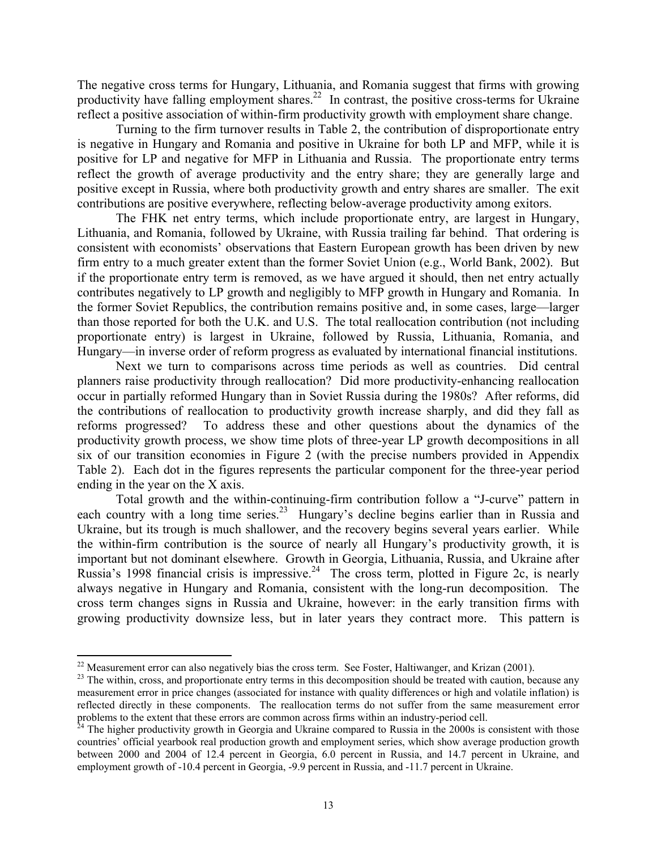The negative cross terms for Hungary, Lithuania, and Romania suggest that firms with growing productivity have falling employment shares.<sup>22</sup> In contrast, the positive cross-terms for Ukraine reflect a positive association of within-firm productivity growth with employment share change.

Turning to the firm turnover results in Table 2, the contribution of disproportionate entry is negative in Hungary and Romania and positive in Ukraine for both LP and MFP, while it is positive for LP and negative for MFP in Lithuania and Russia. The proportionate entry terms reflect the growth of average productivity and the entry share; they are generally large and positive except in Russia, where both productivity growth and entry shares are smaller. The exit contributions are positive everywhere, reflecting below-average productivity among exitors.

The FHK net entry terms, which include proportionate entry, are largest in Hungary, Lithuania, and Romania, followed by Ukraine, with Russia trailing far behind. That ordering is consistent with economists' observations that Eastern European growth has been driven by new firm entry to a much greater extent than the former Soviet Union (e.g., World Bank, 2002). But if the proportionate entry term is removed, as we have argued it should, then net entry actually contributes negatively to LP growth and negligibly to MFP growth in Hungary and Romania. In the former Soviet Republics, the contribution remains positive and, in some cases, large—larger than those reported for both the U.K. and U.S. The total reallocation contribution (not including proportionate entry) is largest in Ukraine, followed by Russia, Lithuania, Romania, and Hungary—in inverse order of reform progress as evaluated by international financial institutions.

Next we turn to comparisons across time periods as well as countries. Did central planners raise productivity through reallocation? Did more productivity-enhancing reallocation occur in partially reformed Hungary than in Soviet Russia during the 1980s? After reforms, did the contributions of reallocation to productivity growth increase sharply, and did they fall as reforms progressed? To address these and other questions about the dynamics of the productivity growth process, we show time plots of three-year LP growth decompositions in all six of our transition economies in Figure 2 (with the precise numbers provided in Appendix Table 2). Each dot in the figures represents the particular component for the three-year period ending in the year on the X axis.

Total growth and the within-continuing-firm contribution follow a "J-curve" pattern in each country with a long time series.<sup>23</sup> Hungary's decline begins earlier than in Russia and Ukraine, but its trough is much shallower, and the recovery begins several years earlier. While the within-firm contribution is the source of nearly all Hungary's productivity growth, it is important but not dominant elsewhere. Growth in Georgia, Lithuania, Russia, and Ukraine after Russia's 1998 financial crisis is impressive.<sup>24</sup> The cross term, plotted in Figure 2c, is nearly always negative in Hungary and Romania, consistent with the long-run decomposition. The cross term changes signs in Russia and Ukraine, however: in the early transition firms with growing productivity downsize less, but in later years they contract more. This pattern is

<sup>&</sup>lt;sup>22</sup> Measurement error can also negatively bias the cross term. See Foster, Haltiwanger, and Krizan (2001).

 $23$  The within, cross, and proportionate entry terms in this decomposition should be treated with caution, because any measurement error in price changes (associated for instance with quality differences or high and volatile inflation) is reflected directly in these components. The reallocation terms do not suffer from the same measurement error problems to the extent that these errors are common across firms within an industry-period cell.

 $^{24}$  The higher productivity growth in Georgia and Ukraine compared to Russia in the 2000s is consistent with those countries' official yearbook real production growth and employment series, which show average production growth between 2000 and 2004 of 12.4 percent in Georgia, 6.0 percent in Russia, and 14.7 percent in Ukraine, and employment growth of -10.4 percent in Georgia, -9.9 percent in Russia, and -11.7 percent in Ukraine.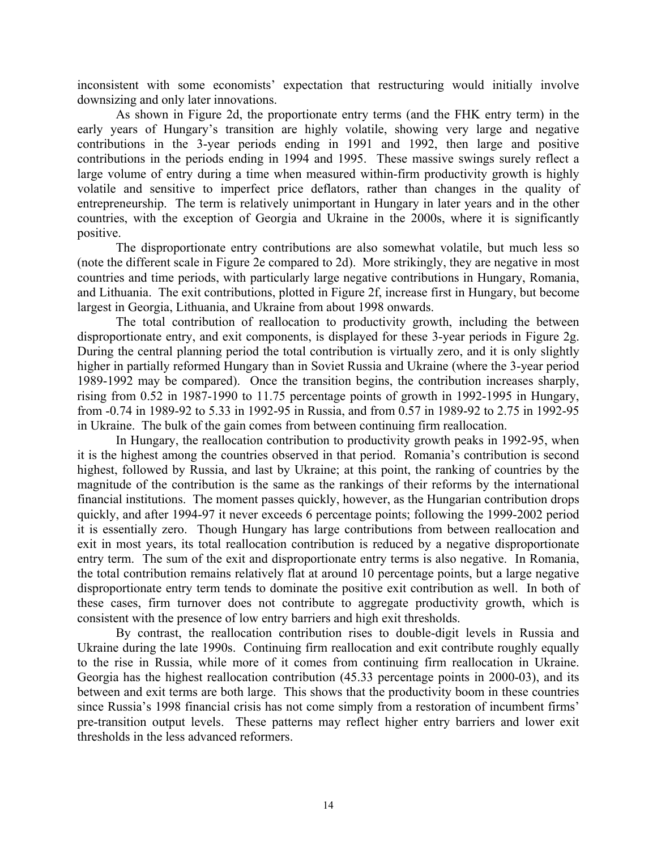inconsistent with some economists' expectation that restructuring would initially involve downsizing and only later innovations.

As shown in Figure 2d, the proportionate entry terms (and the FHK entry term) in the early years of Hungary's transition are highly volatile, showing very large and negative contributions in the 3-year periods ending in 1991 and 1992, then large and positive contributions in the periods ending in 1994 and 1995. These massive swings surely reflect a large volume of entry during a time when measured within-firm productivity growth is highly volatile and sensitive to imperfect price deflators, rather than changes in the quality of entrepreneurship. The term is relatively unimportant in Hungary in later years and in the other countries, with the exception of Georgia and Ukraine in the 2000s, where it is significantly positive.

The disproportionate entry contributions are also somewhat volatile, but much less so (note the different scale in Figure 2e compared to 2d). More strikingly, they are negative in most countries and time periods, with particularly large negative contributions in Hungary, Romania, and Lithuania. The exit contributions, plotted in Figure 2f, increase first in Hungary, but become largest in Georgia, Lithuania, and Ukraine from about 1998 onwards.

The total contribution of reallocation to productivity growth, including the between disproportionate entry, and exit components, is displayed for these 3-year periods in Figure 2g. During the central planning period the total contribution is virtually zero, and it is only slightly higher in partially reformed Hungary than in Soviet Russia and Ukraine (where the 3-year period 1989-1992 may be compared). Once the transition begins, the contribution increases sharply, rising from 0.52 in 1987-1990 to 11.75 percentage points of growth in 1992-1995 in Hungary, from -0.74 in 1989-92 to 5.33 in 1992-95 in Russia, and from 0.57 in 1989-92 to 2.75 in 1992-95 in Ukraine. The bulk of the gain comes from between continuing firm reallocation.

In Hungary, the reallocation contribution to productivity growth peaks in 1992-95, when it is the highest among the countries observed in that period. Romania's contribution is second highest, followed by Russia, and last by Ukraine; at this point, the ranking of countries by the magnitude of the contribution is the same as the rankings of their reforms by the international financial institutions. The moment passes quickly, however, as the Hungarian contribution drops quickly, and after 1994-97 it never exceeds 6 percentage points; following the 1999-2002 period it is essentially zero. Though Hungary has large contributions from between reallocation and exit in most years, its total reallocation contribution is reduced by a negative disproportionate entry term. The sum of the exit and disproportionate entry terms is also negative. In Romania, the total contribution remains relatively flat at around 10 percentage points, but a large negative disproportionate entry term tends to dominate the positive exit contribution as well. In both of these cases, firm turnover does not contribute to aggregate productivity growth, which is consistent with the presence of low entry barriers and high exit thresholds.

By contrast, the reallocation contribution rises to double-digit levels in Russia and Ukraine during the late 1990s. Continuing firm reallocation and exit contribute roughly equally to the rise in Russia, while more of it comes from continuing firm reallocation in Ukraine. Georgia has the highest reallocation contribution (45.33 percentage points in 2000-03), and its between and exit terms are both large. This shows that the productivity boom in these countries since Russia's 1998 financial crisis has not come simply from a restoration of incumbent firms' pre-transition output levels. These patterns may reflect higher entry barriers and lower exit thresholds in the less advanced reformers.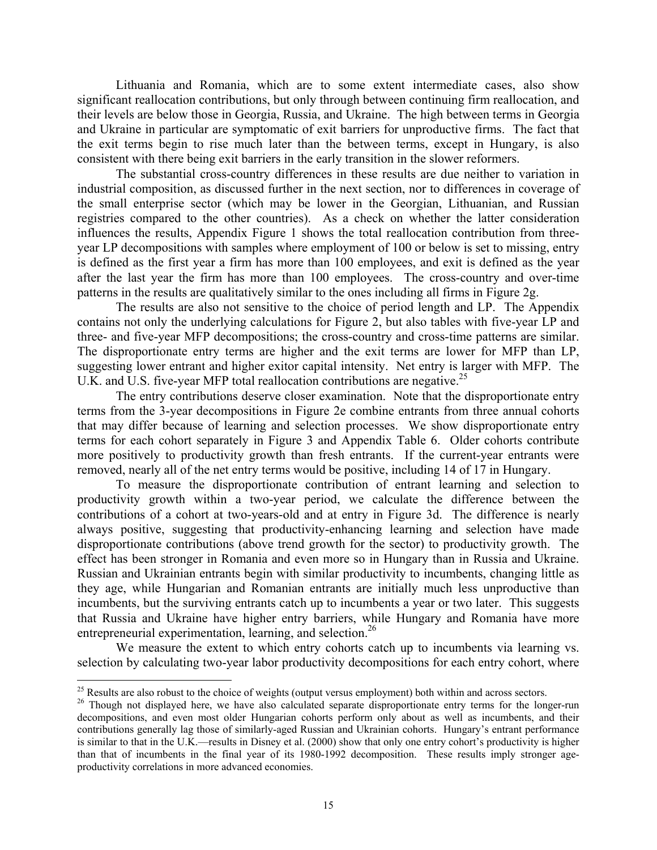Lithuania and Romania, which are to some extent intermediate cases, also show significant reallocation contributions, but only through between continuing firm reallocation, and their levels are below those in Georgia, Russia, and Ukraine. The high between terms in Georgia and Ukraine in particular are symptomatic of exit barriers for unproductive firms. The fact that the exit terms begin to rise much later than the between terms, except in Hungary, is also consistent with there being exit barriers in the early transition in the slower reformers.

The substantial cross-country differences in these results are due neither to variation in industrial composition, as discussed further in the next section, nor to differences in coverage of the small enterprise sector (which may be lower in the Georgian, Lithuanian, and Russian registries compared to the other countries). As a check on whether the latter consideration influences the results, Appendix Figure 1 shows the total reallocation contribution from threeyear LP decompositions with samples where employment of 100 or below is set to missing, entry is defined as the first year a firm has more than 100 employees, and exit is defined as the year after the last year the firm has more than 100 employees. The cross-country and over-time patterns in the results are qualitatively similar to the ones including all firms in Figure 2g.

The results are also not sensitive to the choice of period length and LP. The Appendix contains not only the underlying calculations for Figure 2, but also tables with five-year LP and three- and five-year MFP decompositions; the cross-country and cross-time patterns are similar. The disproportionate entry terms are higher and the exit terms are lower for MFP than LP, suggesting lower entrant and higher exitor capital intensity. Net entry is larger with MFP. The U.K. and U.S. five-year MFP total reallocation contributions are negative.<sup>25</sup>

The entry contributions deserve closer examination. Note that the disproportionate entry terms from the 3-year decompositions in Figure 2e combine entrants from three annual cohorts that may differ because of learning and selection processes. We show disproportionate entry terms for each cohort separately in Figure 3 and Appendix Table 6. Older cohorts contribute more positively to productivity growth than fresh entrants. If the current-year entrants were removed, nearly all of the net entry terms would be positive, including 14 of 17 in Hungary.

To measure the disproportionate contribution of entrant learning and selection to productivity growth within a two-year period, we calculate the difference between the contributions of a cohort at two-years-old and at entry in Figure 3d. The difference is nearly always positive, suggesting that productivity-enhancing learning and selection have made disproportionate contributions (above trend growth for the sector) to productivity growth. The effect has been stronger in Romania and even more so in Hungary than in Russia and Ukraine. Russian and Ukrainian entrants begin with similar productivity to incumbents, changing little as they age, while Hungarian and Romanian entrants are initially much less unproductive than incumbents, but the surviving entrants catch up to incumbents a year or two later. This suggests that Russia and Ukraine have higher entry barriers, while Hungary and Romania have more entrepreneurial experimentation, learning, and selection.<sup>26</sup>

We measure the extent to which entry cohorts catch up to incumbents via learning vs. selection by calculating two-year labor productivity decompositions for each entry cohort, where

<u>.</u>

 $^{25}$  Results are also robust to the choice of weights (output versus employment) both within and across sectors.

<sup>&</sup>lt;sup>26</sup> Though not displayed here, we have also calculated separate disproportionate entry terms for the longer-run decompositions, and even most older Hungarian cohorts perform only about as well as incumbents, and their contributions generally lag those of similarly-aged Russian and Ukrainian cohorts. Hungary's entrant performance is similar to that in the U.K.—results in Disney et al. (2000) show that only one entry cohort's productivity is higher than that of incumbents in the final year of its 1980-1992 decomposition. These results imply stronger ageproductivity correlations in more advanced economies.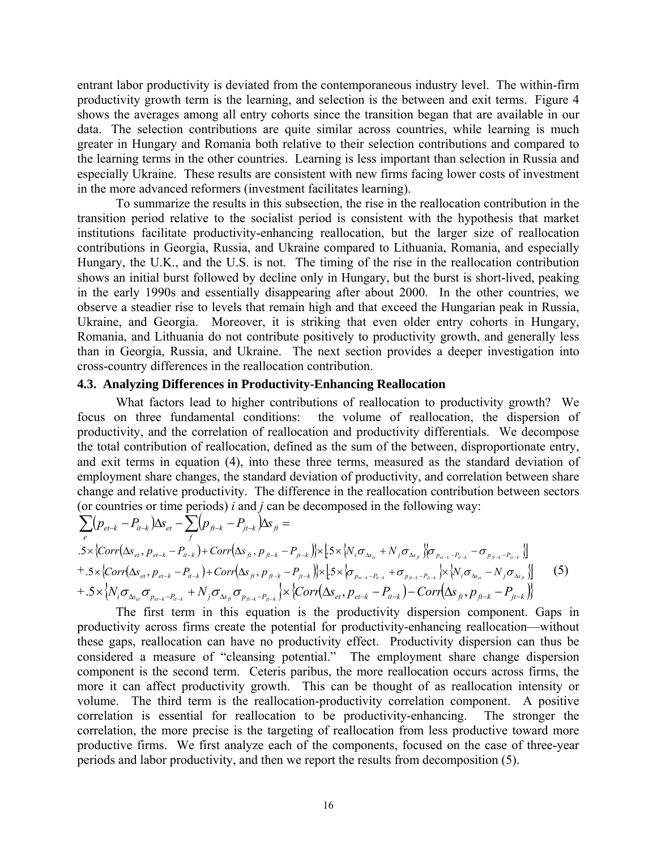entrant labor productivity is deviated from the contemporaneous industry level. The within-firm productivity growth term is the learning, and selection is the between and exit terms. Figure 4 shows the averages among all entry cohorts since the transition began that are available in our data. The selection contributions are quite similar across countries, while learning is much greater in Hungary and Romania both relative to their selection contributions and compared to the learning terms in the other countries. Learning is less important than selection in Russia and especially Ukraine. These results are consistent with new firms facing lower costs of investment in the more advanced reformers (investment facilitates learning).

To summarize the results in this subsection, the rise in the reallocation contribution in the transition period relative to the socialist period is consistent with the hypothesis that market institutions facilitate productivity-enhancing reallocation, but the larger size of reallocation contributions in Georgia, Russia, and Ukraine compared to Lithuania, Romania, and especially Hungary, the U.K., and the U.S. is not. The timing of the rise in the reallocation contribution shows an initial burst followed by decline only in Hungary, but the burst is short-lived, peaking in the early 1990s and essentially disappearing after about 2000. In the other countries, we observe a steadier rise to levels that remain high and that exceed the Hungarian peak in Russia, Ukraine, and Georgia. Moreover, it is striking that even older entry cohorts in Hungary, Romania, and Lithuania do not contribute positively to productivity growth, and generally less than in Georgia, Russia, and Ukraine. The next section provides a deeper investigation into cross-country differences in the reallocation contribution.

#### **4.3. Analyzing Differences in Productivity-Enhancing Reallocation**

What factors lead to higher contributions of reallocation to productivity growth? We focus on three fundamental conditions: the volume of reallocation, the dispersion of productivity, and the correlation of reallocation and productivity differentials. We decompose the total contribution of reallocation, defined as the sum of the between, disproportionate entry, and exit terms in equation (4), into these three terms, measured as the standard deviation of employment share changes, the standard deviation of productivity, and correlation between share change and relative productivity. The difference in the reallocation contribution between sectors (or countries or time periods) *i* and *j* can be decomposed in the following way:

$$
\sum_{e} (p_{e t-k} - P_{it-k}) \Delta s_{e t} - \sum_{f} (p_{f i-k} - P_{jt-k}) \Delta s_{f t} =
$$
  
.5×{Corr( $\Delta s_{e t}, p_{e t-k} - P_{it-k}$ )+Corr( $\Delta s_{f t}, p_{f i-k} - P_{jt-k}$ )} $|\times |5 \times \{N_i \sigma_{\Delta s_{e t}} + N_j \sigma_{\Delta s_{f t}} \} \sigma_{p_{e t-k} - p_{it-k}} - \sigma_{p_{f i-k} - p_{jt-k}}$ ]}  
+ .5×{Corr( $\Delta s_{e t}, p_{e t-k} - P_{it-k}$ )+Corr( $\Delta s_{f t}, p_{f t-k} - P_{jt-k}$ )} $|\times |5 \times \{\sigma_{p_{e t-k} - p_{it-k}} + \sigma_{p_{f k-k} - p_{jt-k}} \} \times \{N_i \sigma_{\Delta s_{e t}} - N_j \sigma_{\Delta s_{f t}} \}$  (5)  
+ .5×{ $N_i \sigma_{\Delta s_{e t}} \sigma_{p_{e t-k} - p_{it-k}} + N_j \sigma_{\Delta s_{f t}} \sigma_{p_{f k-k} - p_{jt-k}} \} \times {Corr( $\Delta s_{e t}, p_{e t-k} - P_{it-k}$ ) - Corr( $\Delta s_{f t}, p_{f t-k} - P_{jt-k}$ )} (5)$ 

 The first term in this equation is the productivity dispersion component. Gaps in productivity across firms create the potential for productivity-enhancing reallocation—without these gaps, reallocation can have no productivity effect. Productivity dispersion can thus be considered a measure of "cleansing potential." The employment share change dispersion component is the second term. Ceteris paribus, the more reallocation occurs across firms, the more it can affect productivity growth. This can be thought of as reallocation intensity or volume. The third term is the reallocation-productivity correlation component. A positive correlation is essential for reallocation to be productivity-enhancing. The stronger the correlation, the more precise is the targeting of reallocation from less productive toward more productive firms. We first analyze each of the components, focused on the case of three-year periods and labor productivity, and then we report the results from decomposition (5).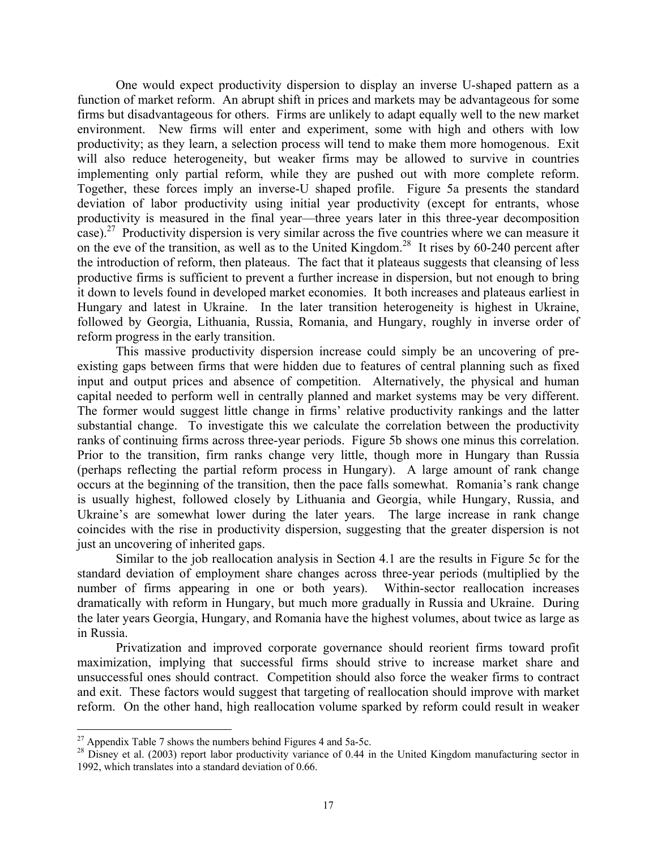One would expect productivity dispersion to display an inverse U-shaped pattern as a function of market reform. An abrupt shift in prices and markets may be advantageous for some firms but disadvantageous for others. Firms are unlikely to adapt equally well to the new market environment. New firms will enter and experiment, some with high and others with low productivity; as they learn, a selection process will tend to make them more homogenous. Exit will also reduce heterogeneity, but weaker firms may be allowed to survive in countries implementing only partial reform, while they are pushed out with more complete reform. Together, these forces imply an inverse-U shaped profile. Figure 5a presents the standard deviation of labor productivity using initial year productivity (except for entrants, whose productivity is measured in the final year—three years later in this three-year decomposition case).27 Productivity dispersion is very similar across the five countries where we can measure it on the eve of the transition, as well as to the United Kingdom.<sup>28</sup> It rises by 60-240 percent after the introduction of reform, then plateaus. The fact that it plateaus suggests that cleansing of less productive firms is sufficient to prevent a further increase in dispersion, but not enough to bring it down to levels found in developed market economies. It both increases and plateaus earliest in Hungary and latest in Ukraine. In the later transition heterogeneity is highest in Ukraine, followed by Georgia, Lithuania, Russia, Romania, and Hungary, roughly in inverse order of reform progress in the early transition.

This massive productivity dispersion increase could simply be an uncovering of preexisting gaps between firms that were hidden due to features of central planning such as fixed input and output prices and absence of competition. Alternatively, the physical and human capital needed to perform well in centrally planned and market systems may be very different. The former would suggest little change in firms' relative productivity rankings and the latter substantial change. To investigate this we calculate the correlation between the productivity ranks of continuing firms across three-year periods. Figure 5b shows one minus this correlation. Prior to the transition, firm ranks change very little, though more in Hungary than Russia (perhaps reflecting the partial reform process in Hungary). A large amount of rank change occurs at the beginning of the transition, then the pace falls somewhat. Romania's rank change is usually highest, followed closely by Lithuania and Georgia, while Hungary, Russia, and Ukraine's are somewhat lower during the later years. The large increase in rank change coincides with the rise in productivity dispersion, suggesting that the greater dispersion is not just an uncovering of inherited gaps.

Similar to the job reallocation analysis in Section 4.1 are the results in Figure 5c for the standard deviation of employment share changes across three-year periods (multiplied by the number of firms appearing in one or both years). Within-sector reallocation increases dramatically with reform in Hungary, but much more gradually in Russia and Ukraine. During the later years Georgia, Hungary, and Romania have the highest volumes, about twice as large as in Russia.

Privatization and improved corporate governance should reorient firms toward profit maximization, implying that successful firms should strive to increase market share and unsuccessful ones should contract. Competition should also force the weaker firms to contract and exit. These factors would suggest that targeting of reallocation should improve with market reform. On the other hand, high reallocation volume sparked by reform could result in weaker

 $\overline{a}$ 

 $27$  Appendix Table 7 shows the numbers behind Figures 4 and 5a-5c.

 $^{28}$  Disney et al. (2003) report labor productivity variance of 0.44 in the United Kingdom manufacturing sector in 1992, which translates into a standard deviation of 0.66.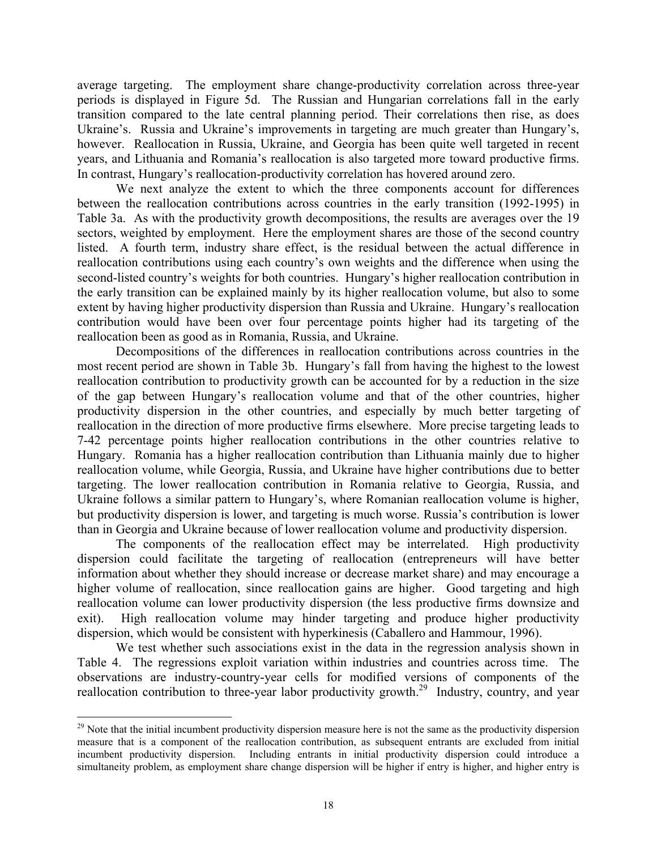average targeting. The employment share change-productivity correlation across three-year periods is displayed in Figure 5d. The Russian and Hungarian correlations fall in the early transition compared to the late central planning period. Their correlations then rise, as does Ukraine's. Russia and Ukraine's improvements in targeting are much greater than Hungary's, however. Reallocation in Russia, Ukraine, and Georgia has been quite well targeted in recent years, and Lithuania and Romania's reallocation is also targeted more toward productive firms. In contrast, Hungary's reallocation-productivity correlation has hovered around zero.

We next analyze the extent to which the three components account for differences between the reallocation contributions across countries in the early transition (1992-1995) in Table 3a. As with the productivity growth decompositions, the results are averages over the 19 sectors, weighted by employment. Here the employment shares are those of the second country listed. A fourth term, industry share effect, is the residual between the actual difference in reallocation contributions using each country's own weights and the difference when using the second-listed country's weights for both countries. Hungary's higher reallocation contribution in the early transition can be explained mainly by its higher reallocation volume, but also to some extent by having higher productivity dispersion than Russia and Ukraine. Hungary's reallocation contribution would have been over four percentage points higher had its targeting of the reallocation been as good as in Romania, Russia, and Ukraine.

Decompositions of the differences in reallocation contributions across countries in the most recent period are shown in Table 3b. Hungary's fall from having the highest to the lowest reallocation contribution to productivity growth can be accounted for by a reduction in the size of the gap between Hungary's reallocation volume and that of the other countries, higher productivity dispersion in the other countries, and especially by much better targeting of reallocation in the direction of more productive firms elsewhere. More precise targeting leads to 7-42 percentage points higher reallocation contributions in the other countries relative to Hungary. Romania has a higher reallocation contribution than Lithuania mainly due to higher reallocation volume, while Georgia, Russia, and Ukraine have higher contributions due to better targeting. The lower reallocation contribution in Romania relative to Georgia, Russia, and Ukraine follows a similar pattern to Hungary's, where Romanian reallocation volume is higher, but productivity dispersion is lower, and targeting is much worse. Russia's contribution is lower than in Georgia and Ukraine because of lower reallocation volume and productivity dispersion.

The components of the reallocation effect may be interrelated. High productivity dispersion could facilitate the targeting of reallocation (entrepreneurs will have better information about whether they should increase or decrease market share) and may encourage a higher volume of reallocation, since reallocation gains are higher. Good targeting and high reallocation volume can lower productivity dispersion (the less productive firms downsize and exit). High reallocation volume may hinder targeting and produce higher productivity dispersion, which would be consistent with hyperkinesis (Caballero and Hammour, 1996).

We test whether such associations exist in the data in the regression analysis shown in Table 4. The regressions exploit variation within industries and countries across time. The observations are industry-country-year cells for modified versions of components of the reallocation contribution to three-year labor productivity growth.<sup>29</sup> Industry, country, and year

<u>.</u>

 $29$  Note that the initial incumbent productivity dispersion measure here is not the same as the productivity dispersion measure that is a component of the reallocation contribution, as subsequent entrants are excluded from initial incumbent productivity dispersion. Including entrants in initial productivity dispersion could introduce a simultaneity problem, as employment share change dispersion will be higher if entry is higher, and higher entry is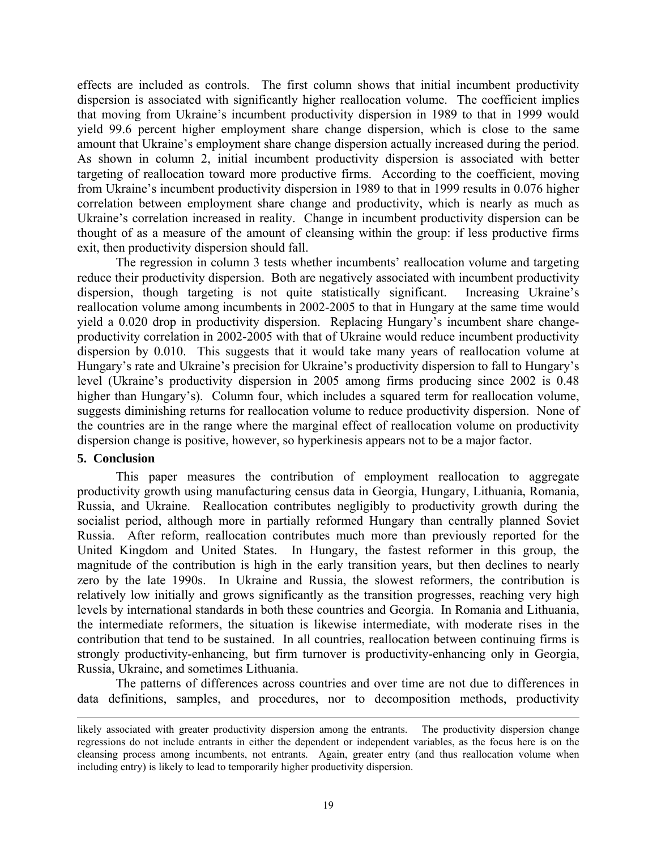effects are included as controls. The first column shows that initial incumbent productivity dispersion is associated with significantly higher reallocation volume. The coefficient implies that moving from Ukraine's incumbent productivity dispersion in 1989 to that in 1999 would yield 99.6 percent higher employment share change dispersion, which is close to the same amount that Ukraine's employment share change dispersion actually increased during the period. As shown in column 2, initial incumbent productivity dispersion is associated with better targeting of reallocation toward more productive firms. According to the coefficient, moving from Ukraine's incumbent productivity dispersion in 1989 to that in 1999 results in 0.076 higher correlation between employment share change and productivity, which is nearly as much as Ukraine's correlation increased in reality. Change in incumbent productivity dispersion can be thought of as a measure of the amount of cleansing within the group: if less productive firms exit, then productivity dispersion should fall.

The regression in column 3 tests whether incumbents' reallocation volume and targeting reduce their productivity dispersion. Both are negatively associated with incumbent productivity dispersion, though targeting is not quite statistically significant. Increasing Ukraine's reallocation volume among incumbents in 2002-2005 to that in Hungary at the same time would yield a 0.020 drop in productivity dispersion. Replacing Hungary's incumbent share changeproductivity correlation in 2002-2005 with that of Ukraine would reduce incumbent productivity dispersion by 0.010. This suggests that it would take many years of reallocation volume at Hungary's rate and Ukraine's precision for Ukraine's productivity dispersion to fall to Hungary's level (Ukraine's productivity dispersion in 2005 among firms producing since 2002 is 0.48 higher than Hungary's). Column four, which includes a squared term for reallocation volume, suggests diminishing returns for reallocation volume to reduce productivity dispersion. None of the countries are in the range where the marginal effect of reallocation volume on productivity dispersion change is positive, however, so hyperkinesis appears not to be a major factor.

#### **5. Conclusion**

This paper measures the contribution of employment reallocation to aggregate productivity growth using manufacturing census data in Georgia, Hungary, Lithuania, Romania, Russia, and Ukraine. Reallocation contributes negligibly to productivity growth during the socialist period, although more in partially reformed Hungary than centrally planned Soviet Russia. After reform, reallocation contributes much more than previously reported for the United Kingdom and United States. In Hungary, the fastest reformer in this group, the magnitude of the contribution is high in the early transition years, but then declines to nearly zero by the late 1990s. In Ukraine and Russia, the slowest reformers, the contribution is relatively low initially and grows significantly as the transition progresses, reaching very high levels by international standards in both these countries and Georgia. In Romania and Lithuania, the intermediate reformers, the situation is likewise intermediate, with moderate rises in the contribution that tend to be sustained. In all countries, reallocation between continuing firms is strongly productivity-enhancing, but firm turnover is productivity-enhancing only in Georgia, Russia, Ukraine, and sometimes Lithuania.

The patterns of differences across countries and over time are not due to differences in data definitions, samples, and procedures, nor to decomposition methods, productivity

likely associated with greater productivity dispersion among the entrants. The productivity dispersion change regressions do not include entrants in either the dependent or independent variables, as the focus here is on the cleansing process among incumbents, not entrants. Again, greater entry (and thus reallocation volume when including entry) is likely to lead to temporarily higher productivity dispersion.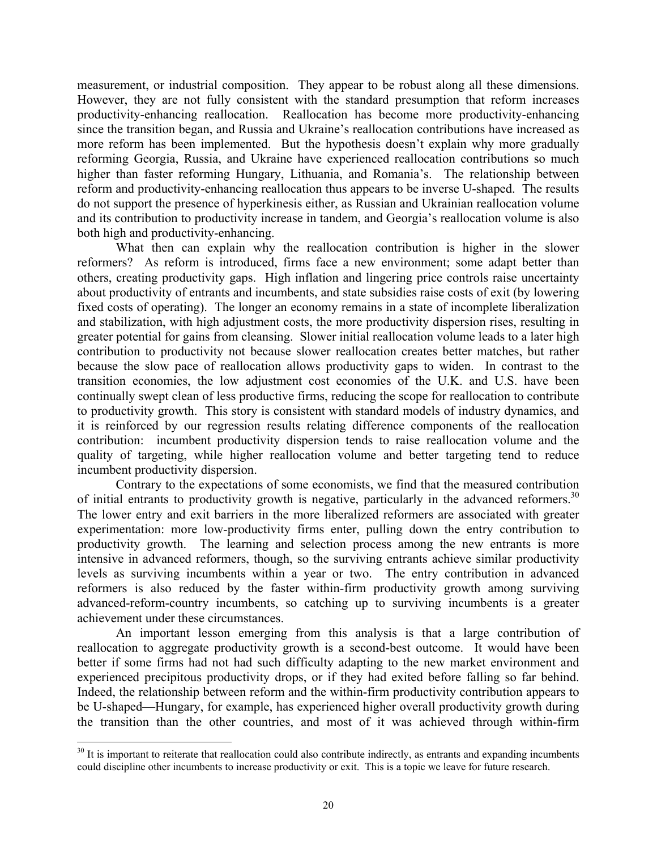measurement, or industrial composition. They appear to be robust along all these dimensions. However, they are not fully consistent with the standard presumption that reform increases productivity-enhancing reallocation. Reallocation has become more productivity-enhancing since the transition began, and Russia and Ukraine's reallocation contributions have increased as more reform has been implemented. But the hypothesis doesn't explain why more gradually reforming Georgia, Russia, and Ukraine have experienced reallocation contributions so much higher than faster reforming Hungary, Lithuania, and Romania's. The relationship between reform and productivity-enhancing reallocation thus appears to be inverse U-shaped. The results do not support the presence of hyperkinesis either, as Russian and Ukrainian reallocation volume and its contribution to productivity increase in tandem, and Georgia's reallocation volume is also both high and productivity-enhancing.

What then can explain why the reallocation contribution is higher in the slower reformers? As reform is introduced, firms face a new environment; some adapt better than others, creating productivity gaps. High inflation and lingering price controls raise uncertainty about productivity of entrants and incumbents, and state subsidies raise costs of exit (by lowering fixed costs of operating). The longer an economy remains in a state of incomplete liberalization and stabilization, with high adjustment costs, the more productivity dispersion rises, resulting in greater potential for gains from cleansing. Slower initial reallocation volume leads to a later high contribution to productivity not because slower reallocation creates better matches, but rather because the slow pace of reallocation allows productivity gaps to widen. In contrast to the transition economies, the low adjustment cost economies of the U.K. and U.S. have been continually swept clean of less productive firms, reducing the scope for reallocation to contribute to productivity growth. This story is consistent with standard models of industry dynamics, and it is reinforced by our regression results relating difference components of the reallocation contribution: incumbent productivity dispersion tends to raise reallocation volume and the quality of targeting, while higher reallocation volume and better targeting tend to reduce incumbent productivity dispersion.

Contrary to the expectations of some economists, we find that the measured contribution of initial entrants to productivity growth is negative, particularly in the advanced reformers.<sup>30</sup> The lower entry and exit barriers in the more liberalized reformers are associated with greater experimentation: more low-productivity firms enter, pulling down the entry contribution to productivity growth. The learning and selection process among the new entrants is more intensive in advanced reformers, though, so the surviving entrants achieve similar productivity levels as surviving incumbents within a year or two. The entry contribution in advanced reformers is also reduced by the faster within-firm productivity growth among surviving advanced-reform-country incumbents, so catching up to surviving incumbents is a greater achievement under these circumstances.

An important lesson emerging from this analysis is that a large contribution of reallocation to aggregate productivity growth is a second-best outcome. It would have been better if some firms had not had such difficulty adapting to the new market environment and experienced precipitous productivity drops, or if they had exited before falling so far behind. Indeed, the relationship between reform and the within-firm productivity contribution appears to be U-shaped—Hungary, for example, has experienced higher overall productivity growth during the transition than the other countries, and most of it was achieved through within-firm

 $\overline{a}$ 

 $30$  It is important to reiterate that reallocation could also contribute indirectly, as entrants and expanding incumbents could discipline other incumbents to increase productivity or exit. This is a topic we leave for future research.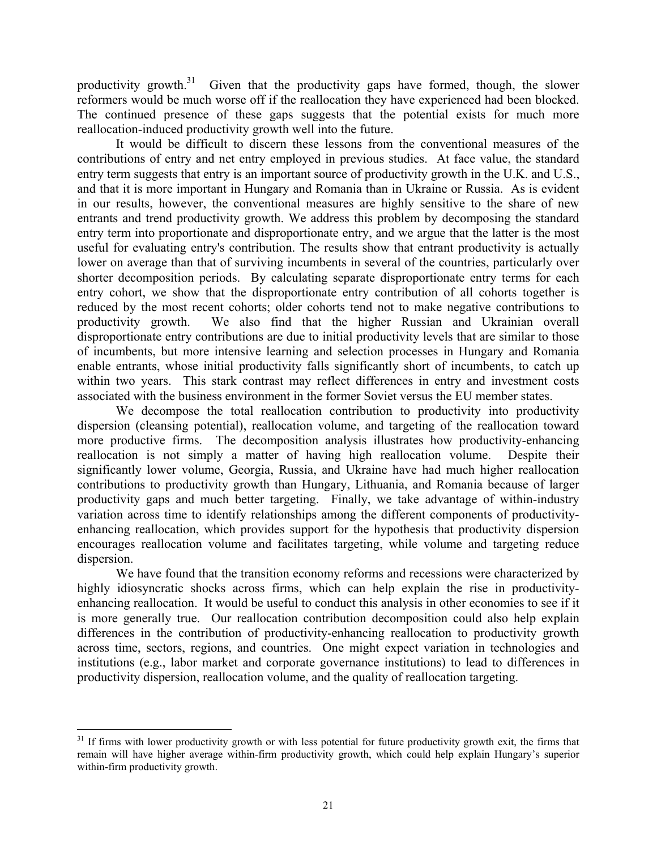productivity growth. $31$  Given that the productivity gaps have formed, though, the slower reformers would be much worse off if the reallocation they have experienced had been blocked. The continued presence of these gaps suggests that the potential exists for much more reallocation-induced productivity growth well into the future.

It would be difficult to discern these lessons from the conventional measures of the contributions of entry and net entry employed in previous studies. At face value, the standard entry term suggests that entry is an important source of productivity growth in the U.K. and U.S., and that it is more important in Hungary and Romania than in Ukraine or Russia. As is evident in our results, however, the conventional measures are highly sensitive to the share of new entrants and trend productivity growth. We address this problem by decomposing the standard entry term into proportionate and disproportionate entry, and we argue that the latter is the most useful for evaluating entry's contribution. The results show that entrant productivity is actually lower on average than that of surviving incumbents in several of the countries, particularly over shorter decomposition periods. By calculating separate disproportionate entry terms for each entry cohort, we show that the disproportionate entry contribution of all cohorts together is reduced by the most recent cohorts; older cohorts tend not to make negative contributions to productivity growth. We also find that the higher Russian and Ukrainian overall disproportionate entry contributions are due to initial productivity levels that are similar to those of incumbents, but more intensive learning and selection processes in Hungary and Romania enable entrants, whose initial productivity falls significantly short of incumbents, to catch up within two years. This stark contrast may reflect differences in entry and investment costs associated with the business environment in the former Soviet versus the EU member states.

We decompose the total reallocation contribution to productivity into productivity dispersion (cleansing potential), reallocation volume, and targeting of the reallocation toward more productive firms. The decomposition analysis illustrates how productivity-enhancing reallocation is not simply a matter of having high reallocation volume. Despite their significantly lower volume, Georgia, Russia, and Ukraine have had much higher reallocation contributions to productivity growth than Hungary, Lithuania, and Romania because of larger productivity gaps and much better targeting. Finally, we take advantage of within-industry variation across time to identify relationships among the different components of productivityenhancing reallocation, which provides support for the hypothesis that productivity dispersion encourages reallocation volume and facilitates targeting, while volume and targeting reduce dispersion.

We have found that the transition economy reforms and recessions were characterized by highly idiosyncratic shocks across firms, which can help explain the rise in productivityenhancing reallocation. It would be useful to conduct this analysis in other economies to see if it is more generally true. Our reallocation contribution decomposition could also help explain differences in the contribution of productivity-enhancing reallocation to productivity growth across time, sectors, regions, and countries. One might expect variation in technologies and institutions (e.g., labor market and corporate governance institutions) to lead to differences in productivity dispersion, reallocation volume, and the quality of reallocation targeting.

 $\overline{a}$ 

 $31$  If firms with lower productivity growth or with less potential for future productivity growth exit, the firms that remain will have higher average within-firm productivity growth, which could help explain Hungary's superior within-firm productivity growth.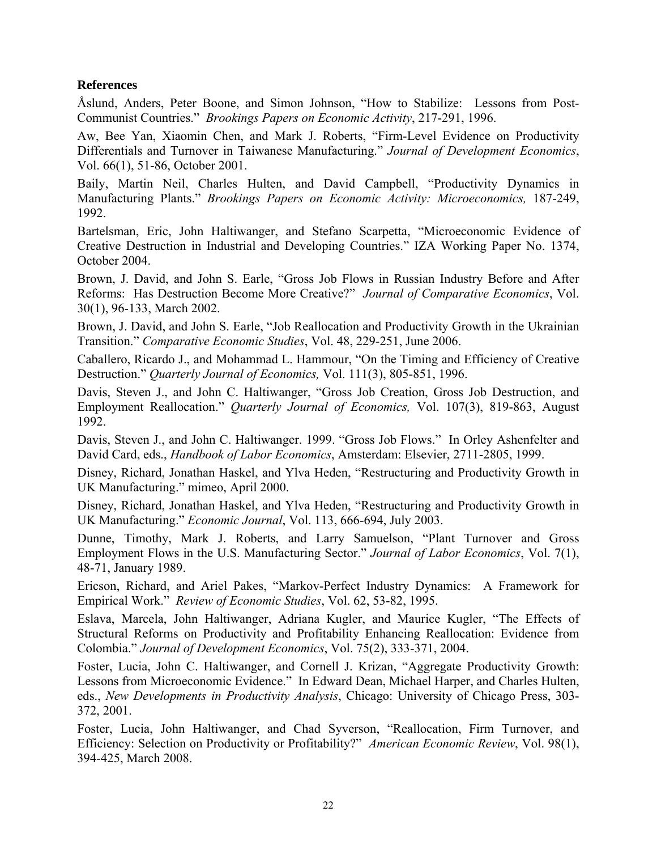# **References**

Åslund, Anders, Peter Boone, and Simon Johnson, "How to Stabilize: Lessons from Post-Communist Countries." *Brookings Papers on Economic Activity*, 217-291, 1996.

Aw, Bee Yan, Xiaomin Chen, and Mark J. Roberts, "Firm-Level Evidence on Productivity Differentials and Turnover in Taiwanese Manufacturing." *Journal of Development Economics*, Vol. 66(1), 51-86, October 2001.

Baily, Martin Neil, Charles Hulten, and David Campbell, "Productivity Dynamics in Manufacturing Plants." *Brookings Papers on Economic Activity: Microeconomics,* 187-249, 1992.

Bartelsman, Eric, John Haltiwanger, and Stefano Scarpetta, "Microeconomic Evidence of Creative Destruction in Industrial and Developing Countries." IZA Working Paper No. 1374, October 2004.

Brown, J. David, and John S. Earle, "Gross Job Flows in Russian Industry Before and After Reforms: Has Destruction Become More Creative?" *Journal of Comparative Economics*, Vol. 30(1), 96-133, March 2002.

Brown, J. David, and John S. Earle, "Job Reallocation and Productivity Growth in the Ukrainian Transition." *Comparative Economic Studies*, Vol. 48, 229-251, June 2006.

Caballero, Ricardo J., and Mohammad L. Hammour, "On the Timing and Efficiency of Creative Destruction." *Quarterly Journal of Economics,* Vol. 111(3), 805-851, 1996.

Davis, Steven J., and John C. Haltiwanger, "Gross Job Creation, Gross Job Destruction, and Employment Reallocation." *Quarterly Journal of Economics,* Vol. 107(3), 819-863, August 1992.

Davis, Steven J., and John C. Haltiwanger. 1999. "Gross Job Flows." In Orley Ashenfelter and David Card, eds., *Handbook of Labor Economics*, Amsterdam: Elsevier, 2711-2805, 1999.

Disney, Richard, Jonathan Haskel, and Ylva Heden, "Restructuring and Productivity Growth in UK Manufacturing." mimeo, April 2000.

Disney, Richard, Jonathan Haskel, and Ylva Heden, "Restructuring and Productivity Growth in UK Manufacturing." *Economic Journal*, Vol. 113, 666-694, July 2003.

Dunne, Timothy, Mark J. Roberts, and Larry Samuelson, "Plant Turnover and Gross Employment Flows in the U.S. Manufacturing Sector." *Journal of Labor Economics*, Vol. 7(1), 48-71, January 1989.

Ericson, Richard, and Ariel Pakes, "Markov-Perfect Industry Dynamics: A Framework for Empirical Work." *Review of Economic Studies*, Vol. 62, 53-82, 1995.

Eslava, Marcela, John Haltiwanger, Adriana Kugler, and Maurice Kugler, "The Effects of Structural Reforms on Productivity and Profitability Enhancing Reallocation: Evidence from Colombia." *Journal of Development Economics*, Vol. 75(2), 333-371, 2004.

Foster, Lucia, John C. Haltiwanger, and Cornell J. Krizan, "Aggregate Productivity Growth: Lessons from Microeconomic Evidence." In Edward Dean, Michael Harper, and Charles Hulten, eds., *New Developments in Productivity Analysis*, Chicago: University of Chicago Press, 303- 372, 2001.

Foster, Lucia, John Haltiwanger, and Chad Syverson, "Reallocation, Firm Turnover, and Efficiency: Selection on Productivity or Profitability?" *American Economic Review*, Vol. 98(1), 394-425, March 2008.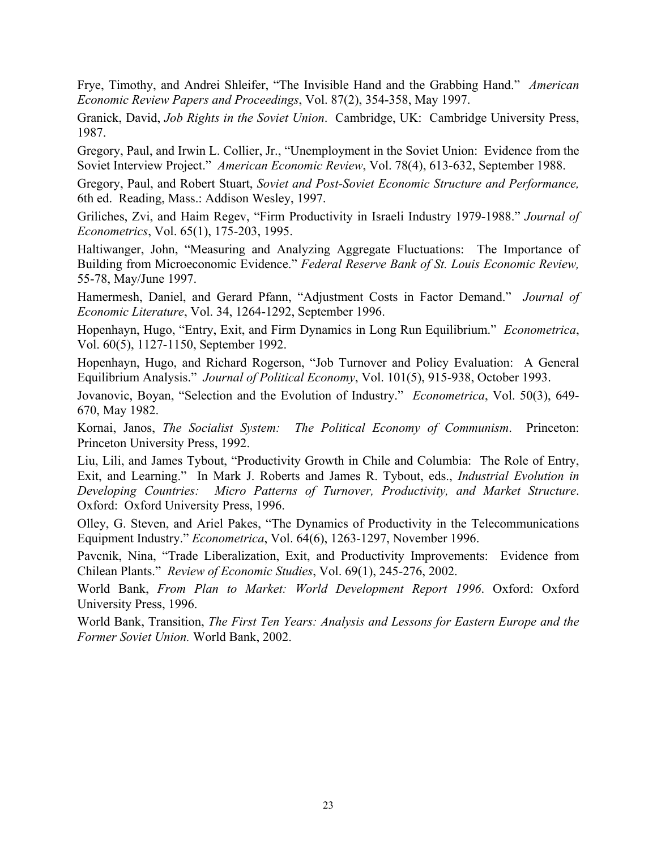Frye, Timothy, and Andrei Shleifer, "The Invisible Hand and the Grabbing Hand." *American Economic Review Papers and Proceedings*, Vol. 87(2), 354-358, May 1997.

Granick, David, *Job Rights in the Soviet Union*. Cambridge, UK: Cambridge University Press, 1987.

Gregory, Paul, and Irwin L. Collier, Jr., "Unemployment in the Soviet Union: Evidence from the Soviet Interview Project." *American Economic Review*, Vol. 78(4), 613-632, September 1988.

Gregory, Paul, and Robert Stuart, *Soviet and Post-Soviet Economic Structure and Performance,*  6th ed. Reading, Mass.: Addison Wesley, 1997.

Griliches, Zvi, and Haim Regev, "Firm Productivity in Israeli Industry 1979-1988." *Journal of Econometrics*, Vol. 65(1), 175-203, 1995.

Haltiwanger, John, "Measuring and Analyzing Aggregate Fluctuations: The Importance of Building from Microeconomic Evidence." *Federal Reserve Bank of St. Louis Economic Review,* 55-78, May/June 1997.

Hamermesh, Daniel, and Gerard Pfann, "Adjustment Costs in Factor Demand." *Journal of Economic Literature*, Vol. 34, 1264-1292, September 1996.

Hopenhayn, Hugo, "Entry, Exit, and Firm Dynamics in Long Run Equilibrium." *Econometrica*, Vol. 60(5), 1127-1150, September 1992.

Hopenhayn, Hugo, and Richard Rogerson, "Job Turnover and Policy Evaluation: A General Equilibrium Analysis." *Journal of Political Economy*, Vol. 101(5), 915-938, October 1993.

Jovanovic, Boyan, "Selection and the Evolution of Industry." *Econometrica*, Vol. 50(3), 649- 670, May 1982.

Kornai, Janos, *The Socialist System: The Political Economy of Communism*. Princeton: Princeton University Press, 1992.

Liu, Lili, and James Tybout, "Productivity Growth in Chile and Columbia: The Role of Entry, Exit, and Learning." In Mark J. Roberts and James R. Tybout, eds., *Industrial Evolution in Developing Countries: Micro Patterns of Turnover, Productivity, and Market Structure*. Oxford: Oxford University Press, 1996.

Olley, G. Steven, and Ariel Pakes, "The Dynamics of Productivity in the Telecommunications Equipment Industry." *Econometrica*, Vol. 64(6), 1263-1297, November 1996.

Pavcnik, Nina, "Trade Liberalization, Exit, and Productivity Improvements: Evidence from Chilean Plants." *Review of Economic Studies*, Vol. 69(1), 245-276, 2002.

World Bank, *From Plan to Market: World Development Report 1996*. Oxford: Oxford University Press, 1996.

World Bank, Transition, *The First Ten Years: Analysis and Lessons for Eastern Europe and the Former Soviet Union.* World Bank, 2002.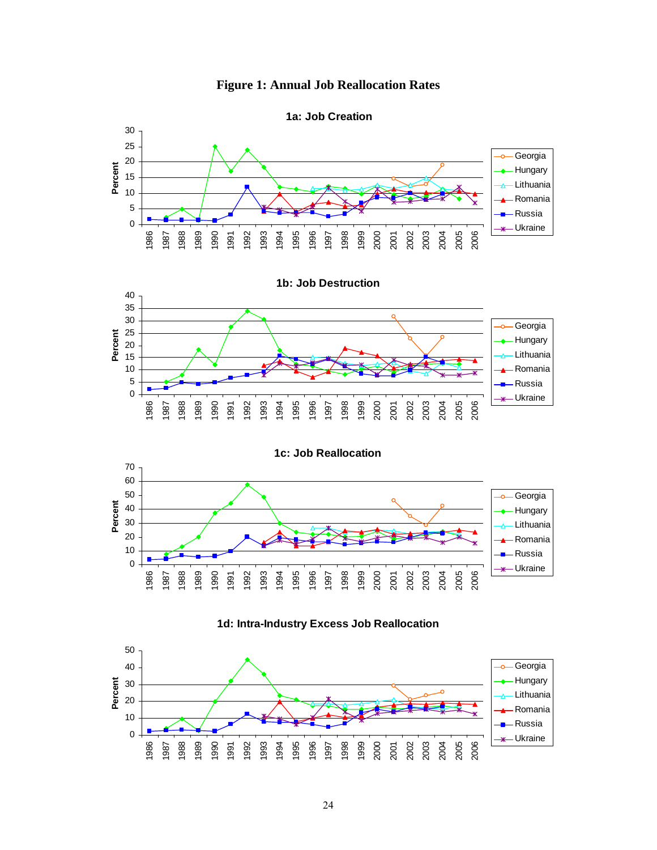



Romania Russia Ukraine

 

 

**Figure 1: Annual Job Reallocation Rates**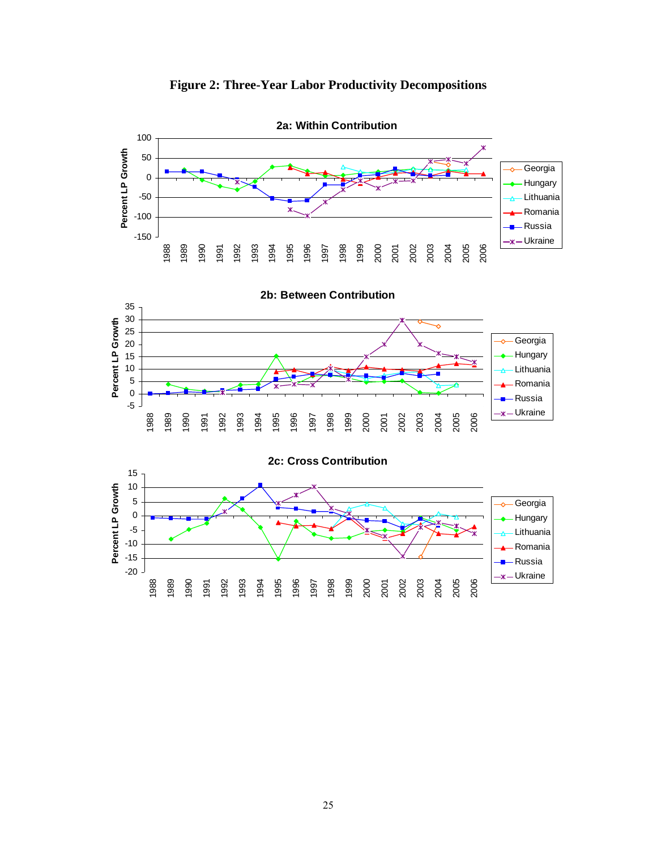

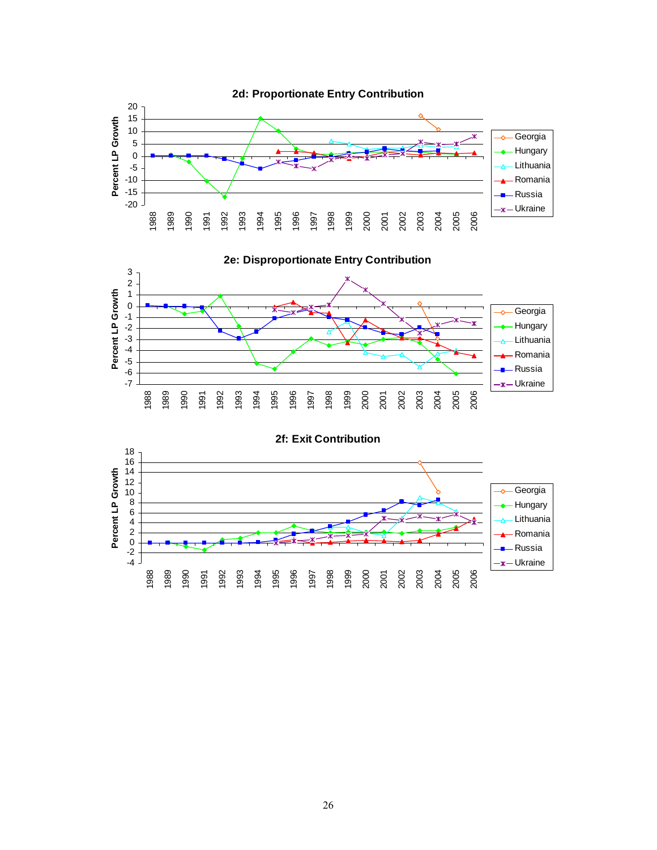



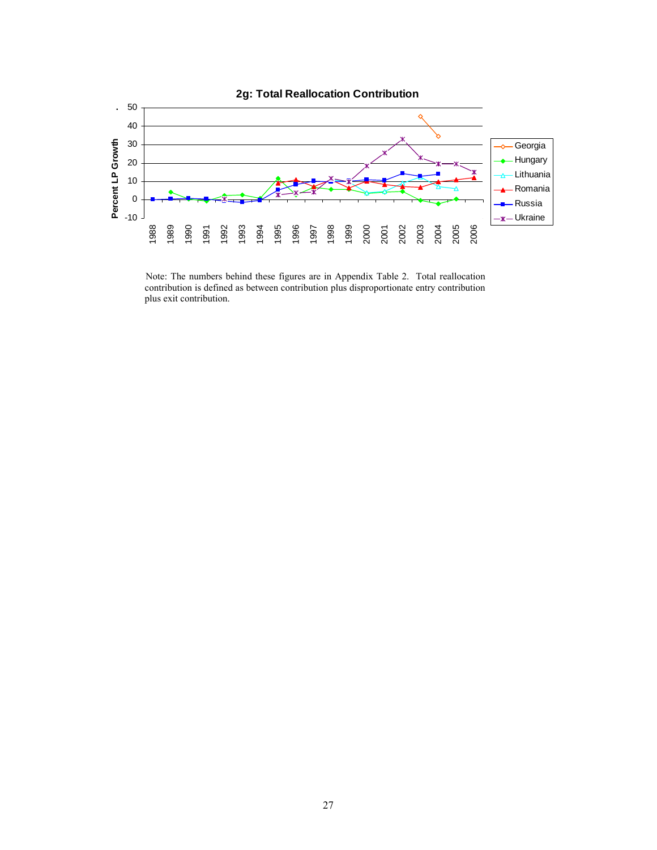

Note: The numbers behind these figures are in Appendix Table 2. Total reallocation contribution is defined as between contribution plus disproportionate entry contribution plus exit contribution.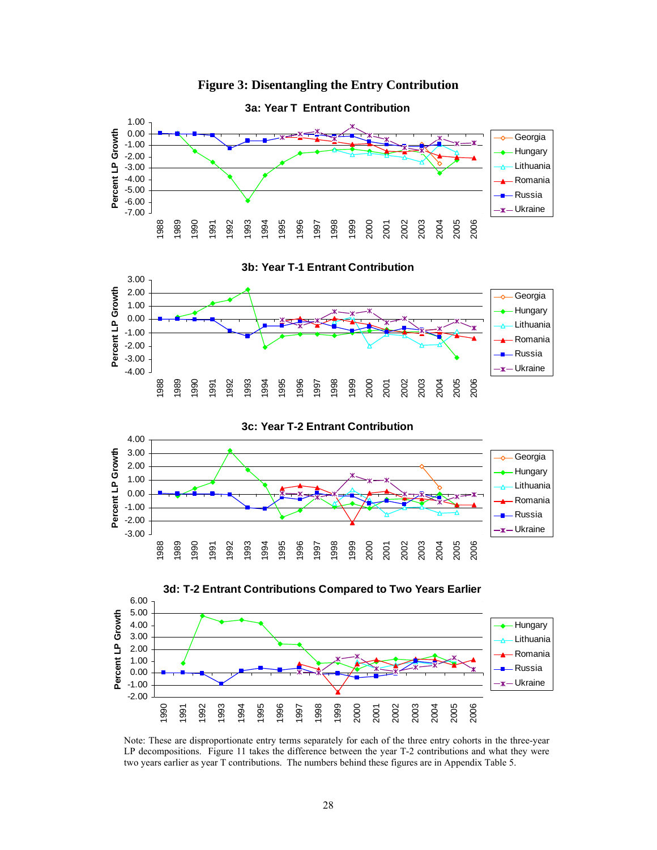



Note: These are disproportionate entry terms separately for each of the three entry cohorts in the three-year LP decompositions. Figure 11 takes the difference between the year T-2 contributions and what they were two years earlier as year T contributions. The numbers behind these figures are in Appendix Table 5.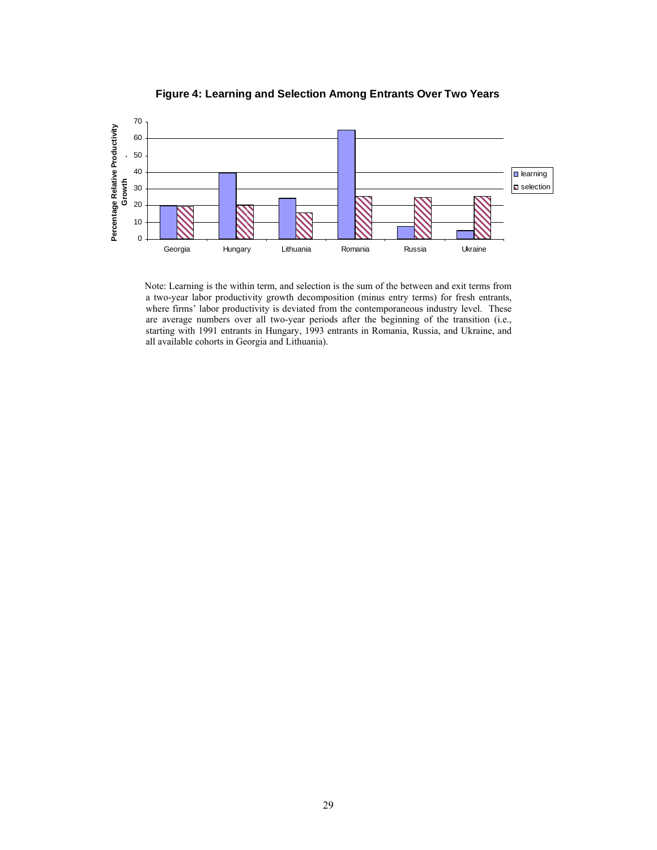

**Figure 4: Learning and Selection Among Entrants Over Two Years**

Note: Learning is the within term, and selection is the sum of the between and exit terms from a two-year labor productivity growth decomposition (minus entry terms) for fresh entrants, where firms' labor productivity is deviated from the contemporaneous industry level. These are average numbers over all two-year periods after the beginning of the transition (i.e., starting with 1991 entrants in Hungary, 1993 entrants in Romania, Russia, and Ukraine, and all available cohorts in Georgia and Lithuania).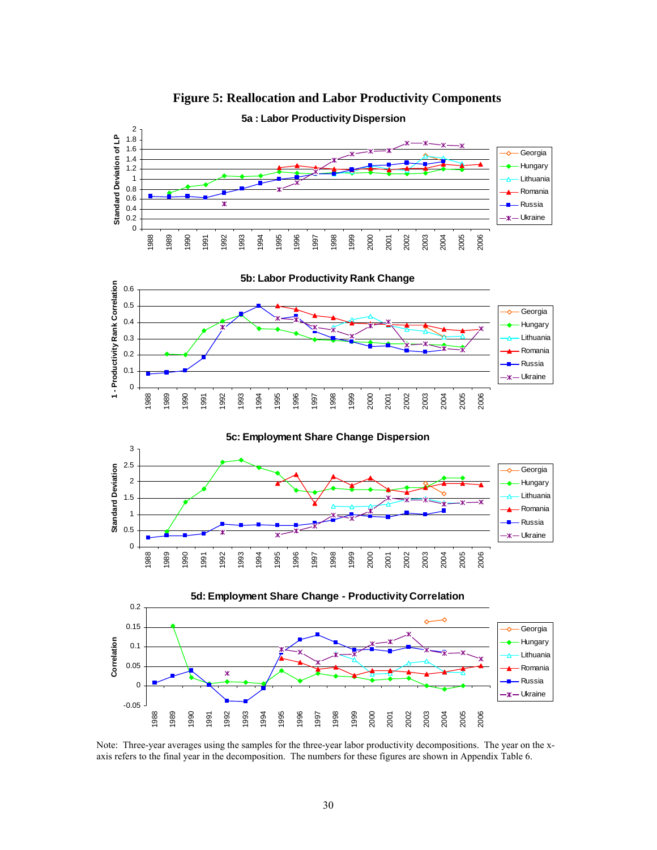

**Figure 5: Reallocation and Labor Productivity Components** 

Note: Three-year averages using the samples for the three-year labor productivity decompositions. The year on the xaxis refers to the final year in the decomposition. The numbers for these figures are shown in Appendix Table 6.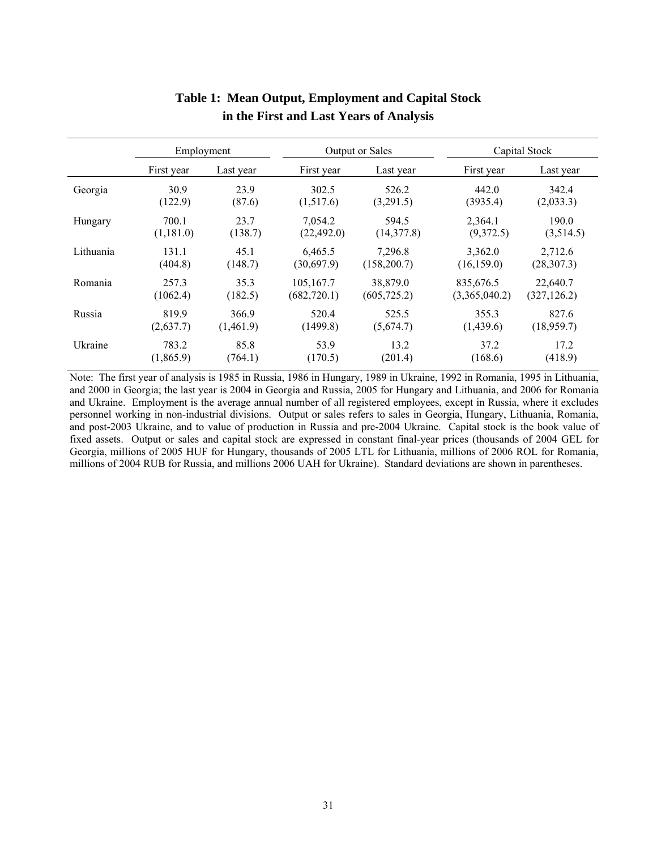|           | Employment |           |              | Output or Sales | Capital Stock |              |
|-----------|------------|-----------|--------------|-----------------|---------------|--------------|
|           | First year | Last year | First year   | Last year       | First year    | Last year    |
| Georgia   | 30.9       | 23.9      | 302.5        | 526.2           | 442.0         | 342.4        |
|           | (122.9)    | (87.6)    | (1,517.6)    | (3,291.5)       | (3935.4)      | (2,033.3)    |
| Hungary   | 700.1      | 23.7      | 7,054.2      | 594.5           | 2,364.1       | 190.0        |
|           | (1,181.0)  | (138.7)   | (22, 492.0)  | (14,377.8)      | (9,372.5)     | (3,514.5)    |
| Lithuania | 131.1      | 45.1      | 6,465.5      | 7,296.8         | 3,362.0       | 2,712.6      |
|           | (404.8)    | (148.7)   | (30,697.9)   | (158,200.7)     | (16, 159.0)   | (28, 307.3)  |
| Romania   | 257.3      | 35.3      | 105,167.7    | 38,879.0        | 835,676.5     | 22,640.7     |
|           | (1062.4)   | (182.5)   | (682, 720.1) | (605, 725.2)    | (3,365,040.2) | (327, 126.2) |
| Russia    | 819.9      | 366.9     | 520.4        | 525.5           | 355.3         | 827.6        |
|           | (2,637.7)  | (1,461.9) | (1499.8)     | (5,674.7)       | (1,439.6)     | (18,959.7)   |
| Ukraine   | 783.2      | 85.8      | 53.9         | 13.2            | 37.2          | 17.2         |
|           | (1,865.9)  | (764.1)   | (170.5)      | (201.4)         | (168.6)       | (418.9)      |

# **Table 1: Mean Output, Employment and Capital Stock in the First and Last Years of Analysis**

Note: The first year of analysis is 1985 in Russia, 1986 in Hungary, 1989 in Ukraine, 1992 in Romania, 1995 in Lithuania, and 2000 in Georgia; the last year is 2004 in Georgia and Russia, 2005 for Hungary and Lithuania, and 2006 for Romania and Ukraine. Employment is the average annual number of all registered employees, except in Russia, where it excludes personnel working in non-industrial divisions. Output or sales refers to sales in Georgia, Hungary, Lithuania, Romania, and post-2003 Ukraine, and to value of production in Russia and pre-2004 Ukraine. Capital stock is the book value of fixed assets. Output or sales and capital stock are expressed in constant final-year prices (thousands of 2004 GEL for Georgia, millions of 2005 HUF for Hungary, thousands of 2005 LTL for Lithuania, millions of 2006 ROL for Romania, millions of 2004 RUB for Russia, and millions 2006 UAH for Ukraine). Standard deviations are shown in parentheses.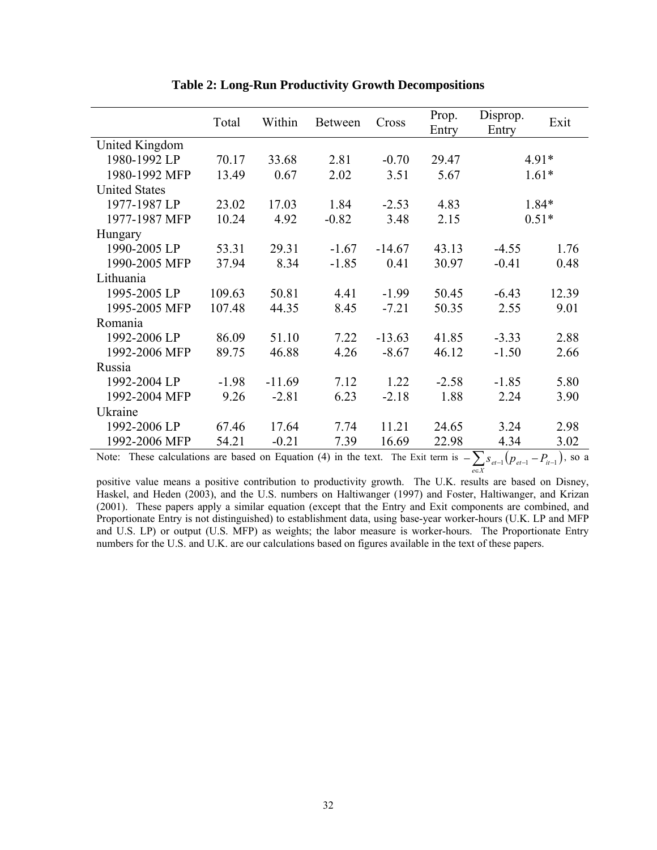|                      | Total                                                                                                                | Within   | Between | Cross    | Prop.<br>Entry | Disprop.<br>Entry | Exit    |
|----------------------|----------------------------------------------------------------------------------------------------------------------|----------|---------|----------|----------------|-------------------|---------|
| United Kingdom       |                                                                                                                      |          |         |          |                |                   |         |
| 1980-1992 LP         | 70.17                                                                                                                | 33.68    | 2.81    | $-0.70$  | 29.47          |                   | $4.91*$ |
| 1980-1992 MFP        | 13.49                                                                                                                | 0.67     | 2.02    | 3.51     | 5.67           |                   | $1.61*$ |
| <b>United States</b> |                                                                                                                      |          |         |          |                |                   |         |
| 1977-1987 LP         | 23.02                                                                                                                | 17.03    | 1.84    | $-2.53$  | 4.83           |                   | 1.84*   |
| 1977-1987 MFP        | 10.24                                                                                                                | 4.92     | $-0.82$ | 3.48     | 2.15           |                   | $0.51*$ |
| Hungary              |                                                                                                                      |          |         |          |                |                   |         |
| 1990-2005 LP         | 53.31                                                                                                                | 29.31    | $-1.67$ | $-14.67$ | 43.13          | $-4.55$           | 1.76    |
| 1990-2005 MFP        | 37.94                                                                                                                | 8.34     | $-1.85$ | 0.41     | 30.97          | $-0.41$           | 0.48    |
| Lithuania            |                                                                                                                      |          |         |          |                |                   |         |
| 1995-2005 LP         | 109.63                                                                                                               | 50.81    | 4.41    | $-1.99$  | 50.45          | $-6.43$           | 12.39   |
| 1995-2005 MFP        | 107.48                                                                                                               | 44.35    | 8.45    | $-7.21$  | 50.35          | 2.55              | 9.01    |
| Romania              |                                                                                                                      |          |         |          |                |                   |         |
| 1992-2006 LP         | 86.09                                                                                                                | 51.10    | 7.22    | $-13.63$ | 41.85          | $-3.33$           | 2.88    |
| 1992-2006 MFP        | 89.75                                                                                                                | 46.88    | 4.26    | $-8.67$  | 46.12          | $-1.50$           | 2.66    |
| Russia               |                                                                                                                      |          |         |          |                |                   |         |
| 1992-2004 LP         | $-1.98$                                                                                                              | $-11.69$ | 7.12    | 1.22     | $-2.58$        | $-1.85$           | 5.80    |
| 1992-2004 MFP        | 9.26                                                                                                                 | $-2.81$  | 6.23    | $-2.18$  | 1.88           | 2.24              | 3.90    |
| Ukraine              |                                                                                                                      |          |         |          |                |                   |         |
| 1992-2006 LP         | 67.46                                                                                                                | 17.64    | 7.74    | 11.21    | 24.65          | 3.24              | 2.98    |
| 1992-2006 MFP        | 54.21                                                                                                                | $-0.21$  | 7.39    | 16.69    | 22.98          | 4.34              | 3.02    |
|                      | Note: These calculations are based on Equation (4) in the text. The Exit term is $-\sum s$<br>$\ln$<br>$- P$<br>so a |          |         |          |                |                   |         |

**Table 2: Long-Run Productivity Growth Decompositions** 

Note: These calculations are based on Equation (4) in the text. The Exit term is  $-\sum_{e \in X} s_{e^t-1}(p_{e^t-1} - p_{i-1})$ , so a

positive value means a positive contribution to productivity growth. The U.K. results are based on Disney, Haskel, and Heden (2003), and the U.S. numbers on Haltiwanger (1997) and Foster, Haltiwanger, and Krizan (2001). These papers apply a similar equation (except that the Entry and Exit components are combined, and Proportionate Entry is not distinguished) to establishment data, using base-year worker-hours (U.K. LP and MFP and U.S. LP) or output (U.S. MFP) as weights; the labor measure is worker-hours. The Proportionate Entry numbers for the U.S. and U.K. are our calculations based on figures available in the text of these papers.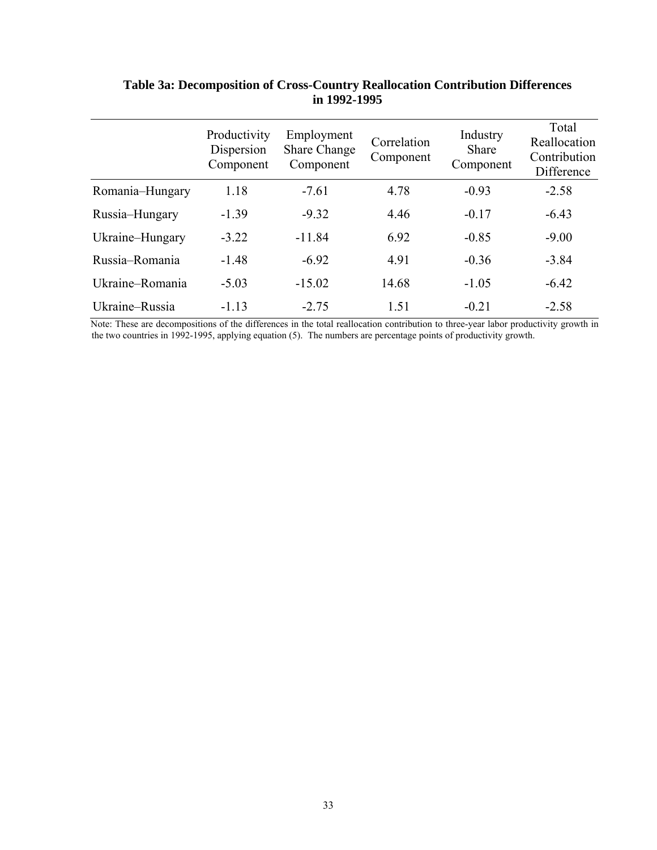|                 | Productivity<br>Dispersion<br>Component | Employment<br><b>Share Change</b><br>Component | Correlation<br>Component | Industry<br>Share<br>Component | Total<br>Reallocation<br>Contribution<br>Difference |
|-----------------|-----------------------------------------|------------------------------------------------|--------------------------|--------------------------------|-----------------------------------------------------|
| Romania–Hungary | 1.18                                    | $-7.61$                                        | 4.78                     | $-0.93$                        | $-2.58$                                             |
| Russia-Hungary  | $-1.39$                                 | $-9.32$                                        | 4.46                     | $-0.17$                        | $-6.43$                                             |
| Ukraine–Hungary | $-3.22$                                 | $-11.84$                                       | 6.92                     | $-0.85$                        | $-9.00$                                             |
| Russia-Romania  | $-1.48$                                 | $-6.92$                                        | 4.91                     | $-0.36$                        | $-3.84$                                             |
| Ukraine-Romania | $-5.03$                                 | $-15.02$                                       | 14.68                    | $-1.05$                        | $-6.42$                                             |
| Ukraine-Russia  | $-1.13$                                 | $-2.75$                                        | 1.51                     | $-0.21$                        | $-2.58$                                             |

# **Table 3a: Decomposition of Cross-Country Reallocation Contribution Differences in 1992-1995**

Note: These are decompositions of the differences in the total reallocation contribution to three-year labor productivity growth in the two countries in 1992-1995, applying equation (5). The numbers are percentage points of productivity growth.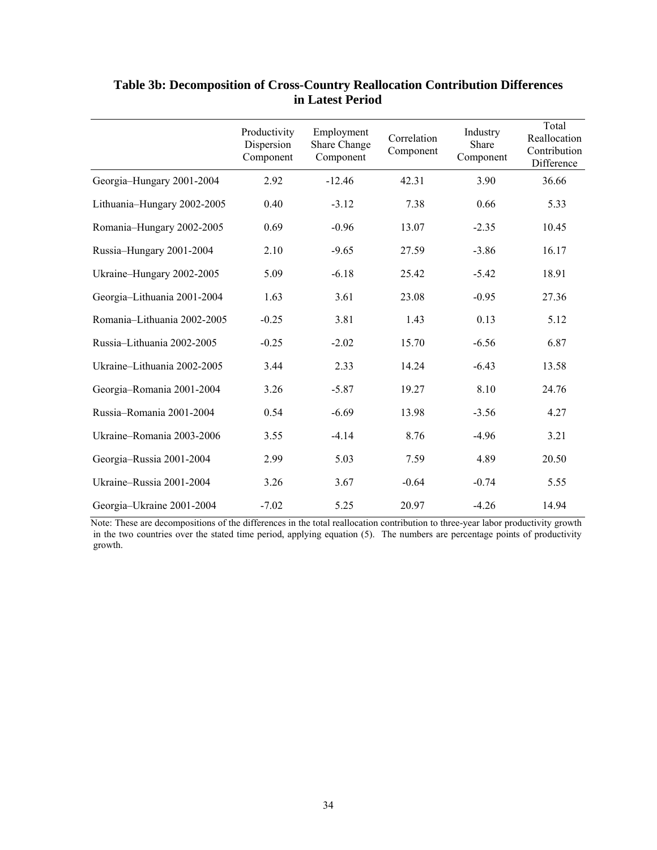|                             | Productivity<br>Dispersion<br>Component | Employment<br>Share Change<br>Component | Correlation<br>Component | Industry<br>Share<br>Component | Total<br>Reallocation<br>Contribution<br>Difference |
|-----------------------------|-----------------------------------------|-----------------------------------------|--------------------------|--------------------------------|-----------------------------------------------------|
| Georgia-Hungary 2001-2004   | 2.92                                    | $-12.46$                                | 42.31                    | 3.90                           | 36.66                                               |
| Lithuania-Hungary 2002-2005 | 0.40                                    | $-3.12$                                 | 7.38                     | 0.66                           | 5.33                                                |
| Romania-Hungary 2002-2005   | 0.69                                    | $-0.96$                                 | 13.07                    | $-2.35$                        | 10.45                                               |
| Russia-Hungary 2001-2004    | 2.10                                    | $-9.65$                                 | 27.59                    | $-3.86$                        | 16.17                                               |
| Ukraine-Hungary 2002-2005   | 5.09                                    | $-6.18$                                 | 25.42                    | $-5.42$                        | 18.91                                               |
| Georgia-Lithuania 2001-2004 | 1.63                                    | 3.61                                    | 23.08                    | $-0.95$                        | 27.36                                               |
| Romania-Lithuania 2002-2005 | $-0.25$                                 | 3.81                                    | 1.43                     | 0.13                           | 5.12                                                |
| Russia-Lithuania 2002-2005  | $-0.25$                                 | $-2.02$                                 | 15.70                    | $-6.56$                        | 6.87                                                |
| Ukraine-Lithuania 2002-2005 | 3.44                                    | 2.33                                    | 14.24                    | $-6.43$                        | 13.58                                               |
| Georgia-Romania 2001-2004   | 3.26                                    | $-5.87$                                 | 19.27                    | 8.10                           | 24.76                                               |
| Russia-Romania 2001-2004    | 0.54                                    | $-6.69$                                 | 13.98                    | $-3.56$                        | 4.27                                                |
| Ukraine-Romania 2003-2006   | 3.55                                    | $-4.14$                                 | 8.76                     | $-4.96$                        | 3.21                                                |
| Georgia-Russia 2001-2004    | 2.99                                    | 5.03                                    | 7.59                     | 4.89                           | 20.50                                               |
| Ukraine-Russia 2001-2004    | 3.26                                    | 3.67                                    | $-0.64$                  | $-0.74$                        | 5.55                                                |
| Georgia-Ukraine 2001-2004   | $-7.02$                                 | 5.25                                    | 20.97                    | $-4.26$                        | 14.94                                               |

# **Table 3b: Decomposition of Cross-Country Reallocation Contribution Differences in Latest Period**

Note: These are decompositions of the differences in the total reallocation contribution to three-year labor productivity growth in the two countries over the stated time period, applying equation (5). The numbers are percentage points of productivity growth.